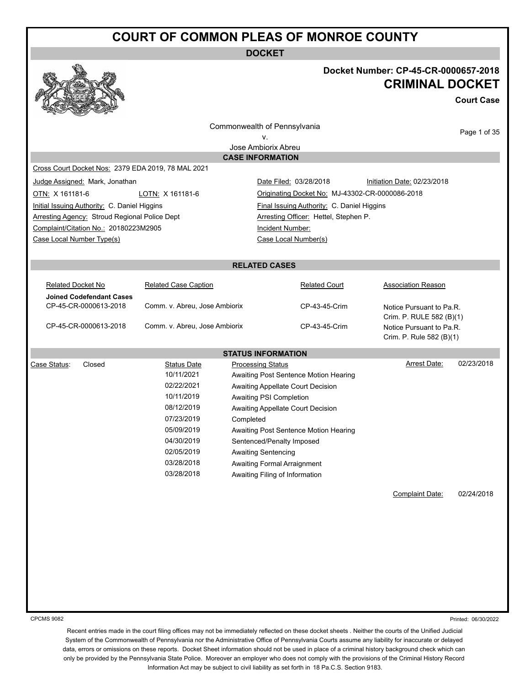**DOCKET**



#### **Docket Number: CP-45-CR-0000657-2018 CRIMINAL DOCKET**

**Court Case**

Commonwealth of Pennsylvania

Page 1 of 35

v.

Jose Ambiorix Abreu **CASE INFORMATION**

Cross Court Docket Nos: 2379 EDA 2019, 78 MAL 2021

Initial Issuing Authority: C. Daniel Higgins Final Issuing Authority: C. Daniel Higgins Arresting Agency: Stroud Regional Police Dept **Arresting Officer: Hettel, Stephen P.** Complaint/Citation No.: 20180223M2905 Incident Number: Case Local Number Type(s) Case Local Number(s)

Judge Assigned: Mark, Jonathan **Date Filed: 03/28/2018** Initiation Date: 02/23/2018 OTN: X 161181-6 LOTN: X 161181-6 Originating Docket No: MJ-43302-CR-0000086-2018

#### **RELATED CASES**

| Related Docket No        | <b>Related Case Caption</b>   | <b>Related Court</b> | Association Reason       |
|--------------------------|-------------------------------|----------------------|--------------------------|
| Joined Codefendant Cases |                               |                      |                          |
| CP-45-CR-0000613-2018    | Comm. v. Abreu, Jose Ambiorix | CP-43-45-Crim        | Notice Pursuant to Pa.R. |
|                          |                               |                      | Crim. P. RULE 582 (B)(1) |
| CP-45-CR-0000613-2018    | Comm. v. Abreu, Jose Ambiorix | CP-43-45-Crim        | Notice Pursuant to Pa.R. |
|                          |                               |                      | Crim. P. Rule 582 (B)(1) |

**STATUS INFORMATION** Case Status: Closed Status Date Processing Status Arrest Date: 02/23/2018 10/11/2021 Awaiting Post Sentence Motion Hearing 02/22/2021 Awaiting Appellate Court Decision 10/11/2019 Awaiting PSI Completion 08/12/2019 Awaiting Appellate Court Decision 07/23/2019 Completed 05/09/2019 Awaiting Post Sentence Motion Hearing 04/30/2019 Sentenced/Penalty Imposed 02/05/2019 Awaiting Sentencing 03/28/2018 Awaiting Formal Arraignment 03/28/2018 Awaiting Filing of Information

Complaint Date: 02/24/2018

CPCMS 9082

Printed: 06/30/2022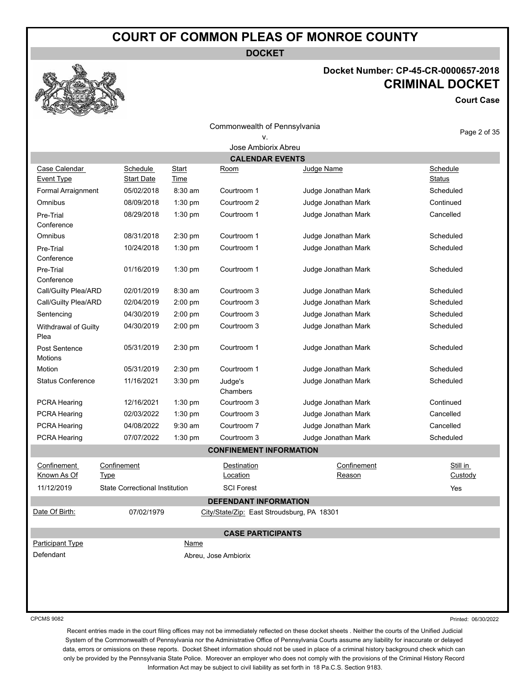**DOCKET**

#### **Docket Number: CP-45-CR-0000657-2018 CRIMINAL DOCKET**

**Court Case**

Commonwealth of Pennsylvania v.

Page 2 of 35

| Jose Ambiorix Abreu          |                                       |                      |                                            |                       |                           |
|------------------------------|---------------------------------------|----------------------|--------------------------------------------|-----------------------|---------------------------|
|                              |                                       |                      | <b>CALENDAR EVENTS</b>                     |                       |                           |
| Case Calendar<br>Event Type  | Schedule<br><b>Start Date</b>         | <b>Start</b><br>Time | <u>Room</u>                                | Judge Name            | Schedule<br><b>Status</b> |
| Formal Arraignment           | 05/02/2018                            | 8:30 am              | Courtroom 1                                | Judge Jonathan Mark   | Scheduled                 |
| Omnibus                      | 08/09/2018                            | 1:30 pm              | Courtroom 2                                | Judge Jonathan Mark   | Continued                 |
| Pre-Trial                    | 08/29/2018                            | 1:30 pm              | Courtroom 1                                | Judge Jonathan Mark   | Cancelled                 |
| Conference                   |                                       |                      |                                            |                       |                           |
| Omnibus                      | 08/31/2018                            | 2:30 pm              | Courtroom 1                                | Judge Jonathan Mark   | Scheduled                 |
| Pre-Trial<br>Conference      | 10/24/2018                            | 1:30 pm              | Courtroom 1                                | Judge Jonathan Mark   | Scheduled                 |
| Pre-Trial<br>Conference      | 01/16/2019                            | 1:30 pm              | Courtroom 1                                | Judge Jonathan Mark   | Scheduled                 |
| Call/Guilty Plea/ARD         | 02/01/2019                            | 8:30 am              | Courtroom 3                                | Judge Jonathan Mark   | Scheduled                 |
| Call/Guilty Plea/ARD         | 02/04/2019                            | $2:00$ pm            | Courtroom 3                                | Judge Jonathan Mark   | Scheduled                 |
| Sentencing                   | 04/30/2019                            | 2:00 pm              | Courtroom 3                                | Judge Jonathan Mark   | Scheduled                 |
| Withdrawal of Guilty<br>Plea | 04/30/2019                            | 2:00 pm              | Courtroom 3                                | Judge Jonathan Mark   | Scheduled                 |
| Post Sentence<br>Motions     | 05/31/2019                            | 2:30 pm              | Courtroom 1                                | Judge Jonathan Mark   | Scheduled                 |
| Motion                       | 05/31/2019                            | 2:30 pm              | Courtroom 1                                | Judge Jonathan Mark   | Scheduled                 |
| <b>Status Conference</b>     | 11/16/2021                            | 3:30 pm              | Judge's<br>Chambers                        | Judge Jonathan Mark   | Scheduled                 |
| <b>PCRA Hearing</b>          | 12/16/2021                            | 1:30 pm              | Courtroom 3                                | Judge Jonathan Mark   | Continued                 |
| PCRA Hearing                 | 02/03/2022                            | 1:30 pm              | Courtroom 3                                | Judge Jonathan Mark   | Cancelled                 |
| PCRA Hearing                 | 04/08/2022                            | 9:30 am              | Courtroom 7                                | Judge Jonathan Mark   | Cancelled                 |
| PCRA Hearing                 | 07/07/2022                            | 1:30 pm              | Courtroom 3                                | Judge Jonathan Mark   | Scheduled                 |
|                              |                                       |                      | <b>CONFINEMENT INFORMATION</b>             |                       |                           |
| Confinement<br>Known As Of   | Confinement<br><b>Type</b>            |                      | Destination<br>Location                    | Confinement<br>Reason | Still in<br>Custody       |
| 11/12/2019                   | <b>State Correctional Institution</b> |                      | <b>SCI Forest</b>                          |                       | Yes                       |
|                              |                                       |                      | <b>DEFENDANT INFORMATION</b>               |                       |                           |
| Date Of Birth:               | 07/02/1979                            |                      | City/State/Zip: East Stroudsburg, PA 18301 |                       |                           |
|                              |                                       |                      | <b>CASE PARTICIPANTS</b>                   |                       |                           |
| Participant Type             |                                       | <b>Name</b>          |                                            |                       |                           |
| Defendant                    |                                       |                      | Abreu, Jose Ambiorix                       |                       |                           |
|                              |                                       |                      |                                            |                       |                           |
|                              |                                       |                      |                                            |                       |                           |
|                              |                                       |                      |                                            |                       |                           |

CPCMS 9082

Printed: 06/30/2022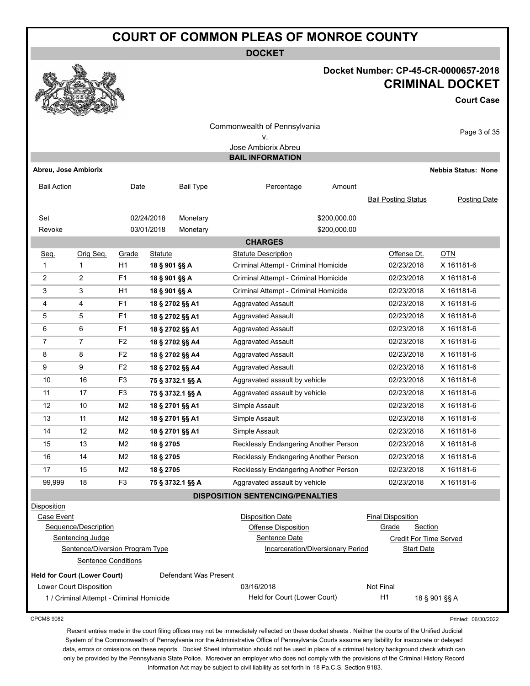**DOCKET**

#### **Docket Number: CP-45-CR-0000657-2018 CRIMINAL DOCKET**

**Court Case**



|                                     |                                          |                |                |                       | Commonwealth of Pennsylvania                   |              |                               | Page 3 of 35               |
|-------------------------------------|------------------------------------------|----------------|----------------|-----------------------|------------------------------------------------|--------------|-------------------------------|----------------------------|
|                                     |                                          |                |                |                       |                                                |              |                               |                            |
|                                     |                                          |                |                |                       | Jose Ambiorix Abreu<br><b>BAIL INFORMATION</b> |              |                               |                            |
| Abreu, Jose Ambiorix                |                                          |                |                |                       |                                                |              |                               | <b>Nebbia Status: None</b> |
|                                     |                                          |                |                |                       |                                                |              |                               |                            |
| <b>Bail Action</b>                  |                                          | Date           |                | <b>Bail Type</b>      | Percentage                                     | Amount       |                               |                            |
|                                     |                                          |                |                |                       |                                                |              | <b>Bail Posting Status</b>    | Posting Date               |
| Set                                 |                                          |                | 02/24/2018     | Monetary              |                                                | \$200,000.00 |                               |                            |
| Revoke                              |                                          |                | 03/01/2018     | Monetary              |                                                | \$200,000.00 |                               |                            |
|                                     |                                          |                |                |                       | <b>CHARGES</b>                                 |              |                               |                            |
| Seq.                                | Orig Seq.                                | Grade          | <b>Statute</b> |                       | <b>Statute Description</b>                     |              | Offense Dt.                   | $OTN$                      |
| 1                                   | 1                                        | H1             | 18 § 901 §§ A  |                       | Criminal Attempt - Criminal Homicide           |              | 02/23/2018                    | X 161181-6                 |
| $\overline{2}$                      | $\overline{2}$                           | F1             | 18 § 901 §§ A  |                       | Criminal Attempt - Criminal Homicide           |              | 02/23/2018                    | X 161181-6                 |
| 3                                   | 3                                        | H1             | 18 § 901 §§ A  |                       | Criminal Attempt - Criminal Homicide           |              | 02/23/2018                    | X 161181-6                 |
| 4                                   | 4                                        | F1             |                | 18 § 2702 §§ A1       | <b>Aggravated Assault</b>                      |              | 02/23/2018                    | X 161181-6                 |
| 5                                   | 5                                        | F <sub>1</sub> |                | 18 § 2702 §§ A1       | <b>Aggravated Assault</b>                      |              | 02/23/2018                    | X 161181-6                 |
| 6                                   | 6                                        | F <sub>1</sub> |                | 18 § 2702 §§ A1       | <b>Aggravated Assault</b>                      |              | 02/23/2018                    | X 161181-6                 |
| $\overline{7}$                      | $\overline{7}$                           | F <sub>2</sub> |                | 18 § 2702 §§ A4       | <b>Aggravated Assault</b>                      |              | 02/23/2018                    | X 161181-6                 |
| 8                                   | 8                                        | F <sub>2</sub> |                | 18 § 2702 §§ A4       | <b>Aggravated Assault</b>                      |              | 02/23/2018                    | X 161181-6                 |
| 9                                   | 9                                        | F2             |                | 18 § 2702 §§ A4       | <b>Aggravated Assault</b>                      |              | 02/23/2018                    | X 161181-6                 |
| 10                                  | 16                                       | F <sub>3</sub> |                | 75 § 3732.1 §§ A      | Aggravated assault by vehicle                  |              | 02/23/2018                    | X 161181-6                 |
| 11                                  | 17                                       | F <sub>3</sub> |                | 75 § 3732.1 §§ A      | Aggravated assault by vehicle                  |              | 02/23/2018                    | X 161181-6                 |
| 12                                  | 10                                       | M <sub>2</sub> |                | 18 § 2701 §§ A1       | Simple Assault                                 |              | 02/23/2018                    | X 161181-6                 |
| 13                                  | 11                                       | M <sub>2</sub> |                | 18 § 2701 §§ A1       | Simple Assault                                 |              | 02/23/2018                    | X 161181-6                 |
| 14                                  | 12                                       | M <sub>2</sub> |                | 18 § 2701 §§ A1       | Simple Assault                                 |              | 02/23/2018                    | X 161181-6                 |
| 15                                  | 13                                       | M <sub>2</sub> | 18 § 2705      |                       | Recklessly Endangering Another Person          |              | 02/23/2018                    | X 161181-6                 |
| 16                                  | 14                                       | M <sub>2</sub> | 18 § 2705      |                       | Recklessly Endangering Another Person          |              | 02/23/2018                    | X 161181-6                 |
| 17                                  | 15                                       | M <sub>2</sub> | 18 § 2705      |                       | Recklessly Endangering Another Person          |              | 02/23/2018                    | X 161181-6                 |
| 99,999                              | 18                                       | F <sub>3</sub> |                | 75 § 3732.1 §§ A      | Aggravated assault by vehicle                  |              | 02/23/2018                    | X 161181-6                 |
|                                     |                                          |                |                |                       | <b>DISPOSITION SENTENCING/PENALTIES</b>        |              |                               |                            |
| <b>Disposition</b>                  |                                          |                |                |                       |                                                |              |                               |                            |
| Case Event                          |                                          |                |                |                       | <b>Disposition Date</b>                        |              | <b>Final Disposition</b>      |                            |
|                                     | Sequence/Description                     |                |                |                       | <b>Offense Disposition</b>                     |              | Grade<br>Section              |                            |
|                                     | Sentencing Judge                         |                |                |                       | Sentence Date                                  |              | <b>Credit For Time Served</b> |                            |
|                                     | Sentence/Diversion Program Type          |                |                |                       | Incarceration/Diversionary Period              |              | <b>Start Date</b>             |                            |
|                                     | <b>Sentence Conditions</b>               |                |                |                       |                                                |              |                               |                            |
| <b>Held for Court (Lower Court)</b> |                                          |                |                | Defendant Was Present |                                                |              |                               |                            |
|                                     | Lower Court Disposition                  |                |                |                       | 03/16/2018                                     |              | Not Final                     |                            |
|                                     | 1 / Criminal Attempt - Criminal Homicide |                |                |                       | Held for Court (Lower Court)                   |              | H1                            | 18 § 901 §§ A              |

CPCMS 9082

Printed: 06/30/2022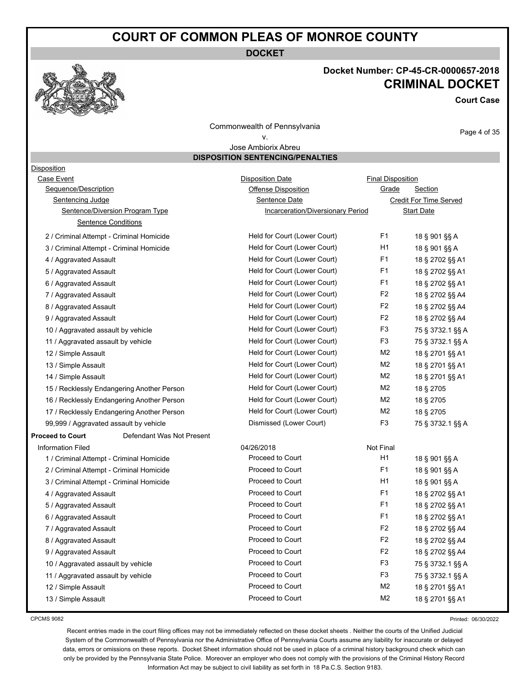**DOCKET**

#### **Docket Number: CP-45-CR-0000657-2018 CRIMINAL DOCKET**

**Court Case**

Commonwealth of Pennsylvania v.

Page 4 of 35

#### Jose Ambiorix Abreu **DISPOSITION SENTENCING/PENALTIES**

| Disposition                              |                                            |                                          |                          |                        |
|------------------------------------------|--------------------------------------------|------------------------------------------|--------------------------|------------------------|
| Case Event                               |                                            | <b>Disposition Date</b>                  | <b>Final Disposition</b> |                        |
| Sequence/Description                     |                                            | <b>Offense Disposition</b>               | Grade                    | Section                |
| <b>Sentencing Judge</b>                  |                                            | Sentence Date                            |                          | Credit For Time Served |
|                                          | <b>Sentence/Diversion Program Type</b>     | <b>Incarceration/Diversionary Period</b> |                          | <b>Start Date</b>      |
|                                          | Sentence Conditions                        |                                          |                          |                        |
| 2 / Criminal Attempt - Criminal Homicide |                                            | Held for Court (Lower Court)             | F <sub>1</sub>           | 18 § 901 §§ A          |
| 3 / Criminal Attempt - Criminal Homicide |                                            | Held for Court (Lower Court)             | H1                       | 18 § 901 §§ A          |
| 4 / Aggravated Assault                   |                                            | Held for Court (Lower Court)             | F <sub>1</sub>           | 18 § 2702 §§ A1        |
| 5 / Aggravated Assault                   |                                            | Held for Court (Lower Court)             | F <sub>1</sub>           | 18 § 2702 §§ A1        |
| 6 / Aggravated Assault                   |                                            | Held for Court (Lower Court)             | F <sub>1</sub>           | 18 § 2702 §§ A1        |
| 7 / Aggravated Assault                   |                                            | Held for Court (Lower Court)             | F <sub>2</sub>           | 18 § 2702 §§ A4        |
| 8 / Aggravated Assault                   |                                            | Held for Court (Lower Court)             | F <sub>2</sub>           | 18 § 2702 §§ A4        |
| 9 / Aggravated Assault                   |                                            | Held for Court (Lower Court)             | F <sub>2</sub>           | 18 § 2702 §§ A4        |
| 10 / Aggravated assault by vehicle       |                                            | Held for Court (Lower Court)             | F <sub>3</sub>           | 75 § 3732.1 §§ A       |
| 11 / Aggravated assault by vehicle       |                                            | Held for Court (Lower Court)             | F3                       | 75 § 3732.1 §§ A       |
| 12 / Simple Assault                      |                                            | Held for Court (Lower Court)             | M2                       | 18 § 2701 §§ A1        |
| 13 / Simple Assault                      |                                            | Held for Court (Lower Court)             | M2                       | 18 § 2701 §§ A1        |
| 14 / Simple Assault                      |                                            | Held for Court (Lower Court)             | M2                       | 18 § 2701 §§ A1        |
|                                          | 15 / Recklessly Endangering Another Person | Held for Court (Lower Court)             | M2                       | 18 § 2705              |
|                                          | 16 / Recklessly Endangering Another Person | Held for Court (Lower Court)             | M2                       | 18 § 2705              |
|                                          | 17 / Recklessly Endangering Another Person | Held for Court (Lower Court)             | M <sub>2</sub>           | 18 § 2705              |
| 99,999 / Aggravated assault by vehicle   |                                            | Dismissed (Lower Court)                  | F <sub>3</sub>           | 75 § 3732.1 §§ A       |
| <b>Proceed to Court</b>                  | Defendant Was Not Present                  |                                          |                          |                        |
| <b>Information Filed</b>                 |                                            | 04/26/2018                               | Not Final                |                        |
| 1 / Criminal Attempt - Criminal Homicide |                                            | Proceed to Court                         | H1                       | 18 § 901 §§ A          |
| 2 / Criminal Attempt - Criminal Homicide |                                            | Proceed to Court                         | F <sub>1</sub>           | 18 § 901 §§ A          |
| 3 / Criminal Attempt - Criminal Homicide |                                            | Proceed to Court                         | H1                       | 18 § 901 §§ A          |
| 4 / Aggravated Assault                   |                                            | Proceed to Court                         | F <sub>1</sub>           | 18 § 2702 §§ A1        |
| 5 / Aggravated Assault                   |                                            | Proceed to Court                         | F <sub>1</sub>           | 18 § 2702 §§ A1        |
| 6 / Aggravated Assault                   |                                            | Proceed to Court                         | F <sub>1</sub>           | 18 § 2702 §§ A1        |
| 7 / Aggravated Assault                   |                                            | Proceed to Court                         | F <sub>2</sub>           | 18 § 2702 §§ A4        |
| 8 / Aggravated Assault                   |                                            | Proceed to Court                         | F <sub>2</sub>           | 18 § 2702 §§ A4        |
| 9 / Aggravated Assault                   |                                            | Proceed to Court                         | F <sub>2</sub>           | 18 § 2702 §§ A4        |
| 10 / Aggravated assault by vehicle       |                                            | Proceed to Court                         | F <sub>3</sub>           | 75 § 3732.1 §§ A       |
| 11 / Aggravated assault by vehicle       |                                            | Proceed to Court                         | F <sub>3</sub>           | 75 § 3732.1 §§ A       |
| 12 / Simple Assault                      |                                            | Proceed to Court                         | M <sub>2</sub>           | 18 § 2701 §§ A1        |
| 13 / Simple Assault                      |                                            | Proceed to Court                         | M <sub>2</sub>           | 18 § 2701 §§ A1        |

CPCMS 9082

Printed: 06/30/2022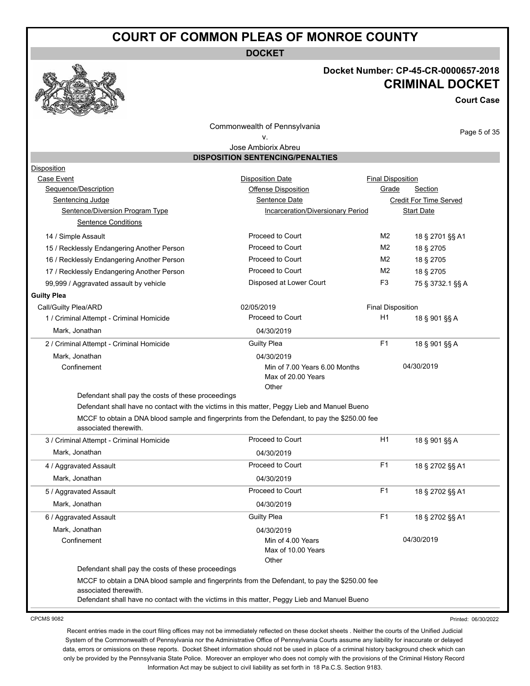**DOCKET**

#### **Docket Number: CP-45-CR-0000657-2018 CRIMINAL DOCKET**

**Court Case**

Commonwealth of Pennsylvania

#### v.

Page 5 of 35

Jose Ambiorix Abreu **DISPOSITION SENTENCING/PENALTIES**

| Disposition                                                                                                             |                                   |                          |                               |
|-------------------------------------------------------------------------------------------------------------------------|-----------------------------------|--------------------------|-------------------------------|
| Case Event                                                                                                              | <b>Disposition Date</b>           | <b>Final Disposition</b> |                               |
| Sequence/Description                                                                                                    | Offense Disposition               | Grade                    | <b>Section</b>                |
| Sentencing Judge                                                                                                        | Sentence Date                     |                          | <b>Credit For Time Served</b> |
| Sentence/Diversion Program Type                                                                                         | Incarceration/Diversionary Period |                          | <b>Start Date</b>             |
| <b>Sentence Conditions</b>                                                                                              |                                   |                          |                               |
| 14 / Simple Assault                                                                                                     | Proceed to Court                  | M <sub>2</sub>           | 18 § 2701 §§ A1               |
| 15 / Recklessly Endangering Another Person                                                                              | Proceed to Court                  | M2                       | 18 § 2705                     |
| 16 / Recklessly Endangering Another Person                                                                              | Proceed to Court                  | M <sub>2</sub>           | 18 § 2705                     |
| 17 / Recklessly Endangering Another Person                                                                              | Proceed to Court                  | M <sub>2</sub>           | 18 § 2705                     |
| 99,999 / Aggravated assault by vehicle                                                                                  | Disposed at Lower Court           | F <sub>3</sub>           | 75 § 3732.1 §§ A              |
| <b>Guilty Plea</b>                                                                                                      |                                   |                          |                               |
| Call/Guilty Plea/ARD                                                                                                    | 02/05/2019                        | <b>Final Disposition</b> |                               |
| 1 / Criminal Attempt - Criminal Homicide                                                                                | Proceed to Court                  | H1                       | 18 § 901 §§ A                 |
| Mark, Jonathan                                                                                                          | 04/30/2019                        |                          |                               |
| 2 / Criminal Attempt - Criminal Homicide                                                                                | <b>Guilty Plea</b>                | F <sub>1</sub>           | 18 § 901 §§ A                 |
| Mark, Jonathan                                                                                                          | 04/30/2019                        |                          |                               |
| Confinement                                                                                                             | Min of 7.00 Years 6.00 Months     |                          | 04/30/2019                    |
|                                                                                                                         | Max of 20.00 Years                |                          |                               |
|                                                                                                                         | Other                             |                          |                               |
| Defendant shall pay the costs of these proceedings                                                                      |                                   |                          |                               |
| Defendant shall have no contact with the victims in this matter, Peggy Lieb and Manuel Bueno                            |                                   |                          |                               |
| MCCF to obtain a DNA blood sample and fingerprints from the Defendant, to pay the \$250.00 fee<br>associated therewith. |                                   |                          |                               |
| 3 / Criminal Attempt - Criminal Homicide                                                                                | Proceed to Court                  | H1                       | 18 § 901 §§ A                 |
| Mark, Jonathan                                                                                                          | 04/30/2019                        |                          |                               |
| 4 / Aggravated Assault                                                                                                  | Proceed to Court                  | F1                       | 18 § 2702 §§ A1               |
| Mark, Jonathan                                                                                                          | 04/30/2019                        |                          |                               |
| 5 / Aggravated Assault                                                                                                  |                                   |                          |                               |
|                                                                                                                         | Proceed to Court                  | F <sub>1</sub>           | 18 § 2702 §§ A1               |
| Mark, Jonathan                                                                                                          | 04/30/2019                        |                          |                               |
| 6 / Aggravated Assault                                                                                                  | <b>Guilty Plea</b>                | F <sub>1</sub>           | 18 § 2702 §§ A1               |
| Mark, Jonathan                                                                                                          | 04/30/2019                        |                          |                               |
| Confinement                                                                                                             | Min of 4.00 Years                 |                          | 04/30/2019                    |
|                                                                                                                         | Max of 10.00 Years                |                          |                               |
|                                                                                                                         | Other                             |                          |                               |
| Defendant shall pay the costs of these proceedings                                                                      |                                   |                          |                               |
| MCCF to obtain a DNA blood sample and fingerprints from the Defendant, to pay the \$250.00 fee                          |                                   |                          |                               |
| associated therewith.<br>Defendant shall have no contact with the victims in this matter, Peggy Lieb and Manuel Bueno   |                                   |                          |                               |

CPCMS 9082

Printed: 06/30/2022

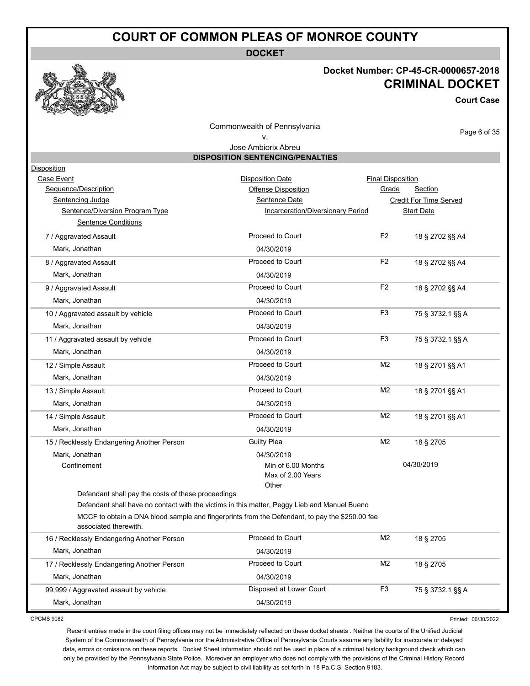**DOCKET**

#### **Docket Number: CP-45-CR-0000657-2018 CRIMINAL DOCKET**

**Court Case**

Commonwealth of Pennsylvania

#### v.

Page 6 of 35

|                                                    | Jose Ambiorix Abreu                                                                            |                          |                               |  |
|----------------------------------------------------|------------------------------------------------------------------------------------------------|--------------------------|-------------------------------|--|
|                                                    | <b>DISPOSITION SENTENCING/PENALTIES</b>                                                        |                          |                               |  |
| <b>Disposition</b>                                 |                                                                                                |                          |                               |  |
| Case Event                                         | <b>Disposition Date</b>                                                                        | <b>Final Disposition</b> |                               |  |
| Sequence/Description                               | <b>Offense Disposition</b>                                                                     | Grade                    | <b>Section</b>                |  |
| <b>Sentencing Judge</b>                            | Sentence Date                                                                                  |                          | <b>Credit For Time Served</b> |  |
| Sentence/Diversion Program Type                    | Incarceration/Diversionary Period                                                              |                          | <b>Start Date</b>             |  |
| <b>Sentence Conditions</b>                         |                                                                                                |                          |                               |  |
| 7 / Aggravated Assault                             | Proceed to Court                                                                               | F <sub>2</sub>           | 18 § 2702 §§ A4               |  |
| Mark, Jonathan                                     | 04/30/2019                                                                                     |                          |                               |  |
| 8 / Aggravated Assault                             | Proceed to Court                                                                               | F <sub>2</sub>           | 18 § 2702 §§ A4               |  |
| Mark, Jonathan                                     | 04/30/2019                                                                                     |                          |                               |  |
| 9 / Aggravated Assault                             | Proceed to Court                                                                               | F <sub>2</sub>           | 18 § 2702 §§ A4               |  |
| Mark, Jonathan                                     | 04/30/2019                                                                                     |                          |                               |  |
| 10 / Aggravated assault by vehicle                 | Proceed to Court                                                                               | F <sub>3</sub>           | 75 § 3732.1 §§ A              |  |
| Mark, Jonathan                                     | 04/30/2019                                                                                     |                          |                               |  |
| 11 / Aggravated assault by vehicle                 | Proceed to Court                                                                               | F <sub>3</sub>           | 75 § 3732.1 §§ A              |  |
| Mark, Jonathan                                     | 04/30/2019                                                                                     |                          |                               |  |
| 12 / Simple Assault                                | Proceed to Court                                                                               | M <sub>2</sub>           | 18 § 2701 §§ A1               |  |
| Mark, Jonathan                                     | 04/30/2019                                                                                     |                          |                               |  |
| 13 / Simple Assault                                | Proceed to Court                                                                               | M <sub>2</sub>           | 18 § 2701 §§ A1               |  |
| Mark, Jonathan                                     | 04/30/2019                                                                                     |                          |                               |  |
| 14 / Simple Assault                                | Proceed to Court                                                                               | M <sub>2</sub>           | 18 § 2701 §§ A1               |  |
| Mark, Jonathan                                     | 04/30/2019                                                                                     |                          |                               |  |
| 15 / Recklessly Endangering Another Person         | <b>Guilty Plea</b>                                                                             | M <sub>2</sub>           | 18 § 2705                     |  |
| Mark, Jonathan                                     | 04/30/2019                                                                                     |                          |                               |  |
| Confinement                                        | Min of 6.00 Months                                                                             |                          | 04/30/2019                    |  |
|                                                    | Max of 2.00 Years                                                                              |                          |                               |  |
| Defendant shall pay the costs of these proceedings | Other                                                                                          |                          |                               |  |
|                                                    | Defendant shall have no contact with the victims in this matter, Peggy Lieb and Manuel Bueno   |                          |                               |  |
|                                                    | MCCF to obtain a DNA blood sample and fingerprints from the Defendant, to pay the \$250.00 fee |                          |                               |  |
| associated therewith.                              |                                                                                                |                          |                               |  |
| 16 / Recklessly Endangering Another Person         | Proceed to Court                                                                               | M <sub>2</sub>           | 18 § 2705                     |  |
| Mark, Jonathan                                     | 04/30/2019                                                                                     |                          |                               |  |
| 17 / Recklessly Endangering Another Person         | Proceed to Court                                                                               | M2                       | 18 § 2705                     |  |
| Mark, Jonathan                                     | 04/30/2019                                                                                     |                          |                               |  |
| 99,999 / Aggravated assault by vehicle             | Disposed at Lower Court                                                                        | F <sub>3</sub>           | 75 § 3732.1 §§ A              |  |

CPCMS 9082

Printed: 06/30/2022

Recent entries made in the court filing offices may not be immediately reflected on these docket sheets . Neither the courts of the Unified Judicial System of the Commonwealth of Pennsylvania nor the Administrative Office of Pennsylvania Courts assume any liability for inaccurate or delayed data, errors or omissions on these reports. Docket Sheet information should not be used in place of a criminal history background check which can only be provided by the Pennsylvania State Police. Moreover an employer who does not comply with the provisions of the Criminal History Record Information Act may be subject to civil liability as set forth in 18 Pa.C.S. Section 9183.

Mark, Jonathan 2012019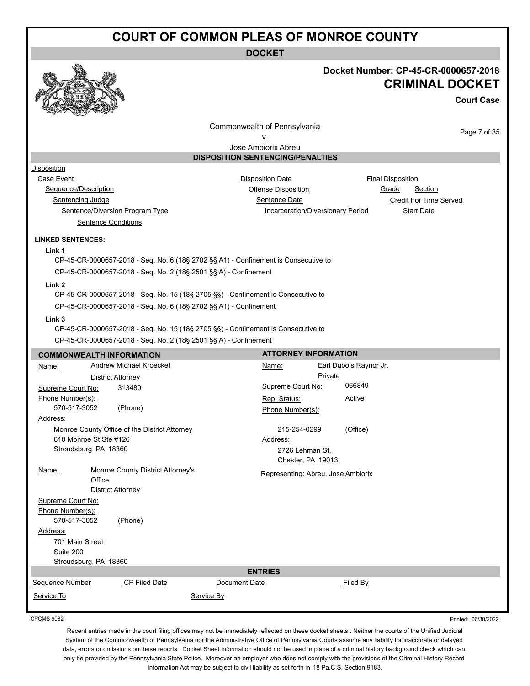**DOCKET**

#### **Docket Number: CP-45-CR-0000657-2018 CRIMINAL DOCKET**

**Court Case**

Commonwealth of Pennsylvania

Page 7 of 35

Printed: 06/30/2022

v. Jose Ambiorix Abreu

**DISPOSITION SENTENCING/PENALTIES**

#### Disposition

Case Event **Case Event Case Event Case Event Case Event Case Event Case Event Case Event Case Event Case Event CASE 2019 CASE 2019 CASE 2019 CASE 2019 CASE 2019 CASE 2019 CASE 2019 CASE 2019** Sequence/Description **Contact Contact Contact Contact Contact Contact Contact Contact Contact Contact Contact Contact Contact Contact Contact Contact Contact Contact Contact Contact Contact Contact Contact Contact Contact** Sentencing Judge Sentence Date Credit For Time Served Sentence/Diversion Program Type Incarceration/Diversionary Period Start Date Sentence Conditions

#### **LINKED SENTENCES:**

**Link 1**

CP-45-CR-0000657-2018 - Seq. No. 6 (18§ 2702 §§ A1) - Confinement is Consecutive to CP-45-CR-0000657-2018 - Seq. No. 2 (18§ 2501 §§ A) - Confinement

#### **Link 2**

CP-45-CR-0000657-2018 - Seq. No. 15 (18§ 2705 §§) - Confinement is Consecutive to CP-45-CR-0000657-2018 - Seq. No. 6 (18§ 2702 §§ A1) - Confinement

#### **Link 3**

CP-45-CR-0000657-2018 - Seq. No. 15 (18§ 2705 §§) - Confinement is Consecutive to

CP-45-CR-0000657-2018 - Seq. No. 2 (18§ 2501 §§ A) - Confinement

|                   | <b>COMMONWEALTH INFORMATION</b>               |               | <b>ATTORNEY INFORMATION</b>        |                        |
|-------------------|-----------------------------------------------|---------------|------------------------------------|------------------------|
| Name:             | Andrew Michael Kroeckel                       |               | Name:                              | Earl Dubois Raynor Jr. |
|                   | <b>District Attorney</b>                      |               |                                    | Private                |
| Supreme Court No: | 313480                                        |               | Supreme Court No:                  | 066849                 |
| Phone Number(s):  |                                               |               | Rep. Status:                       | Active                 |
| 570-517-3052      | (Phone)                                       |               | Phone Number(s):                   |                        |
| Address:          |                                               |               |                                    |                        |
|                   | Monroe County Office of the District Attorney |               | 215-254-0299                       | (Office)               |
|                   | 610 Monroe St Ste #126                        |               | Address:                           |                        |
|                   | Stroudsburg, PA 18360                         |               | 2726 Lehman St.                    |                        |
|                   |                                               |               | Chester, PA 19013                  |                        |
| Name:             | Monroe County District Attorney's             |               | Representing: Abreu, Jose Ambiorix |                        |
|                   | Office                                        |               |                                    |                        |
|                   | <b>District Attorney</b>                      |               |                                    |                        |
| Supreme Court No: |                                               |               |                                    |                        |
| Phone Number(s):  |                                               |               |                                    |                        |
| 570-517-3052      | (Phone)                                       |               |                                    |                        |
| Address:          |                                               |               |                                    |                        |
| 701 Main Street   |                                               |               |                                    |                        |
| Suite 200         |                                               |               |                                    |                        |
|                   | Stroudsburg, PA 18360                         |               | <b>ENTRIES</b>                     |                        |
| Sequence Number   | CP Filed Date                                 | Document Date |                                    |                        |
|                   |                                               |               |                                    | Filed By               |
| Service To        |                                               | Service By    |                                    |                        |
|                   |                                               |               |                                    |                        |

CPCMS 9082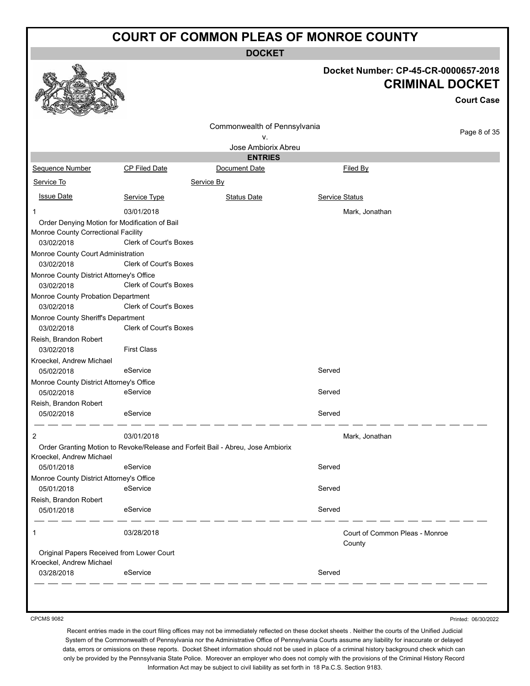**DOCKET**

| Docket Number: CP-45-CR-0000657-2018<br><b>CRIMINAL DOCKET</b><br><b>Court Case</b><br>Commonwealth of Pennsylvania<br>v.<br>Jose Ambiorix Abreu<br><b>ENTRIES</b><br>Sequence Number<br>Document Date<br>Filed By<br>CP Filed Date<br>Service By<br>Service To<br><b>Issue Date</b><br>Service Status<br>Service Type<br><b>Status Date</b><br>03/01/2018<br>Mark, Jonathan<br>1<br>Order Denying Motion for Modification of Bail<br>Monroe County Correctional Facility<br>Clerk of Court's Boxes<br>03/02/2018<br>Monroe County Court Administration<br>Clerk of Court's Boxes<br>03/02/2018<br>Monroe County District Attorney's Office<br>Clerk of Court's Boxes<br>03/02/2018<br>Monroe County Probation Department | Page 8 of 35 |
|---------------------------------------------------------------------------------------------------------------------------------------------------------------------------------------------------------------------------------------------------------------------------------------------------------------------------------------------------------------------------------------------------------------------------------------------------------------------------------------------------------------------------------------------------------------------------------------------------------------------------------------------------------------------------------------------------------------------------|--------------|
|                                                                                                                                                                                                                                                                                                                                                                                                                                                                                                                                                                                                                                                                                                                           |              |
|                                                                                                                                                                                                                                                                                                                                                                                                                                                                                                                                                                                                                                                                                                                           |              |
|                                                                                                                                                                                                                                                                                                                                                                                                                                                                                                                                                                                                                                                                                                                           |              |
|                                                                                                                                                                                                                                                                                                                                                                                                                                                                                                                                                                                                                                                                                                                           |              |
|                                                                                                                                                                                                                                                                                                                                                                                                                                                                                                                                                                                                                                                                                                                           |              |
|                                                                                                                                                                                                                                                                                                                                                                                                                                                                                                                                                                                                                                                                                                                           |              |
|                                                                                                                                                                                                                                                                                                                                                                                                                                                                                                                                                                                                                                                                                                                           |              |
|                                                                                                                                                                                                                                                                                                                                                                                                                                                                                                                                                                                                                                                                                                                           |              |
|                                                                                                                                                                                                                                                                                                                                                                                                                                                                                                                                                                                                                                                                                                                           |              |
|                                                                                                                                                                                                                                                                                                                                                                                                                                                                                                                                                                                                                                                                                                                           |              |
|                                                                                                                                                                                                                                                                                                                                                                                                                                                                                                                                                                                                                                                                                                                           |              |
|                                                                                                                                                                                                                                                                                                                                                                                                                                                                                                                                                                                                                                                                                                                           |              |
|                                                                                                                                                                                                                                                                                                                                                                                                                                                                                                                                                                                                                                                                                                                           |              |
|                                                                                                                                                                                                                                                                                                                                                                                                                                                                                                                                                                                                                                                                                                                           |              |
|                                                                                                                                                                                                                                                                                                                                                                                                                                                                                                                                                                                                                                                                                                                           |              |
|                                                                                                                                                                                                                                                                                                                                                                                                                                                                                                                                                                                                                                                                                                                           |              |
| Clerk of Court's Boxes<br>03/02/2018                                                                                                                                                                                                                                                                                                                                                                                                                                                                                                                                                                                                                                                                                      |              |
| Monroe County Sheriff's Department<br>Clerk of Court's Boxes<br>03/02/2018                                                                                                                                                                                                                                                                                                                                                                                                                                                                                                                                                                                                                                                |              |
| Reish, Brandon Robert<br><b>First Class</b><br>03/02/2018                                                                                                                                                                                                                                                                                                                                                                                                                                                                                                                                                                                                                                                                 |              |
| Kroeckel, Andrew Michael                                                                                                                                                                                                                                                                                                                                                                                                                                                                                                                                                                                                                                                                                                  |              |
| eService<br>Served<br>05/02/2018                                                                                                                                                                                                                                                                                                                                                                                                                                                                                                                                                                                                                                                                                          |              |
| Monroe County District Attorney's Office                                                                                                                                                                                                                                                                                                                                                                                                                                                                                                                                                                                                                                                                                  |              |
| eService<br>05/02/2018<br>Served                                                                                                                                                                                                                                                                                                                                                                                                                                                                                                                                                                                                                                                                                          |              |
| Reish, Brandon Robert                                                                                                                                                                                                                                                                                                                                                                                                                                                                                                                                                                                                                                                                                                     |              |
| Served<br>eService<br>05/02/2018                                                                                                                                                                                                                                                                                                                                                                                                                                                                                                                                                                                                                                                                                          |              |
| 03/01/2018<br>2<br>Mark, Jonathan                                                                                                                                                                                                                                                                                                                                                                                                                                                                                                                                                                                                                                                                                         |              |
| Order Granting Motion to Revoke/Release and Forfeit Bail - Abreu, Jose Ambiorix<br>Kroeckel, Andrew Michael                                                                                                                                                                                                                                                                                                                                                                                                                                                                                                                                                                                                               |              |
| eService<br>Served<br>05/01/2018                                                                                                                                                                                                                                                                                                                                                                                                                                                                                                                                                                                                                                                                                          |              |
| Monroe County District Attorney's Office                                                                                                                                                                                                                                                                                                                                                                                                                                                                                                                                                                                                                                                                                  |              |
| eService<br>05/01/2018<br>Served                                                                                                                                                                                                                                                                                                                                                                                                                                                                                                                                                                                                                                                                                          |              |
| Reish, Brandon Robert<br>eService<br>Served<br>05/01/2018                                                                                                                                                                                                                                                                                                                                                                                                                                                                                                                                                                                                                                                                 |              |
| 03/28/2018<br>Court of Common Pleas - Monroe<br>1<br>County                                                                                                                                                                                                                                                                                                                                                                                                                                                                                                                                                                                                                                                               |              |
| Original Papers Received from Lower Court                                                                                                                                                                                                                                                                                                                                                                                                                                                                                                                                                                                                                                                                                 |              |
| Kroeckel, Andrew Michael                                                                                                                                                                                                                                                                                                                                                                                                                                                                                                                                                                                                                                                                                                  |              |
| eService<br>Served<br>03/28/2018                                                                                                                                                                                                                                                                                                                                                                                                                                                                                                                                                                                                                                                                                          |              |

CPCMS 9082

Printed: 06/30/2022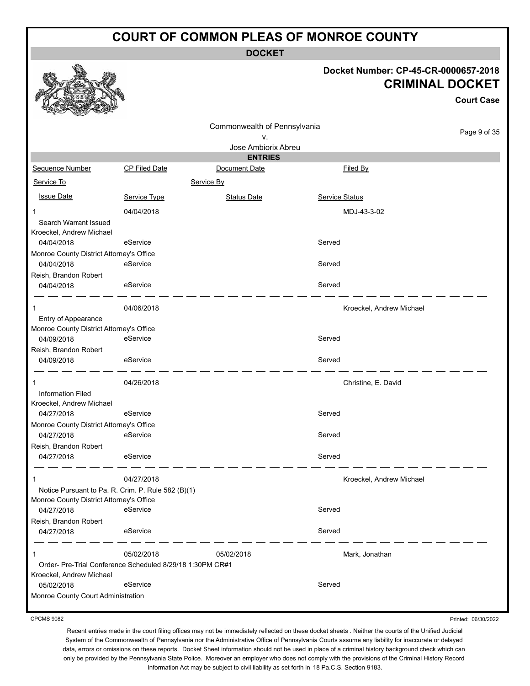**DOCKET**

#### **Docket Number: CP-45-CR-0000657-2018 CRIMINAL DOCKET**

|                                                                                                              |               |                                       |                          | <b>Court Case</b> |
|--------------------------------------------------------------------------------------------------------------|---------------|---------------------------------------|--------------------------|-------------------|
|                                                                                                              |               | Commonwealth of Pennsylvania<br>v.    |                          | Page 9 of 35      |
|                                                                                                              |               | Jose Ambiorix Abreu<br><b>ENTRIES</b> |                          |                   |
| Sequence Number                                                                                              | CP Filed Date | Document Date                         | Filed By                 |                   |
| Service To                                                                                                   |               | Service By                            |                          |                   |
| <b>Issue Date</b>                                                                                            | Service Type  | <b>Status Date</b>                    | Service Status           |                   |
| 1<br>Search Warrant Issued<br>Kroeckel, Andrew Michael                                                       | 04/04/2018    |                                       | MDJ-43-3-02              |                   |
| 04/04/2018                                                                                                   | eService      |                                       | Served                   |                   |
| Monroe County District Attorney's Office<br>04/04/2018                                                       | eService      |                                       | Served                   |                   |
| Reish, Brandon Robert<br>04/04/2018                                                                          | eService      |                                       | Served                   |                   |
| Entry of Appearance<br>Monroe County District Attorney's Office                                              | 04/06/2018    |                                       | Kroeckel, Andrew Michael |                   |
| 04/09/2018<br>Reish, Brandon Robert                                                                          | eService      |                                       | Served                   |                   |
| 04/09/2018                                                                                                   | eService      |                                       | Served                   |                   |
| 1<br><b>Information Filed</b><br>Kroeckel, Andrew Michael                                                    | 04/26/2018    |                                       | Christine, E. David      |                   |
| 04/27/2018                                                                                                   | eService      |                                       | Served                   |                   |
| Monroe County District Attorney's Office<br>04/27/2018                                                       | eService      |                                       | Served                   |                   |
| Reish, Brandon Robert<br>04/27/2018                                                                          | eService      |                                       | Served                   |                   |
|                                                                                                              | 04/27/2018    |                                       | Kroeckel, Andrew Michael |                   |
| Notice Pursuant to Pa. R. Crim. P. Rule 582 (B)(1)<br>Monroe County District Attorney's Office<br>04/27/2018 | eService      |                                       | Served                   |                   |
| Reish, Brandon Robert<br>04/27/2018                                                                          | eService      |                                       | Served                   |                   |
| 1                                                                                                            | 05/02/2018    | 05/02/2018                            | Mark, Jonathan           |                   |
| Order- Pre-Trial Conference Scheduled 8/29/18 1:30PM CR#1<br>Kroeckel, Andrew Michael                        |               |                                       |                          |                   |
| 05/02/2018                                                                                                   | eService      |                                       | Served                   |                   |
| Monroe County Court Administration                                                                           |               |                                       |                          |                   |

CPCMS 9082

Printed: 06/30/2022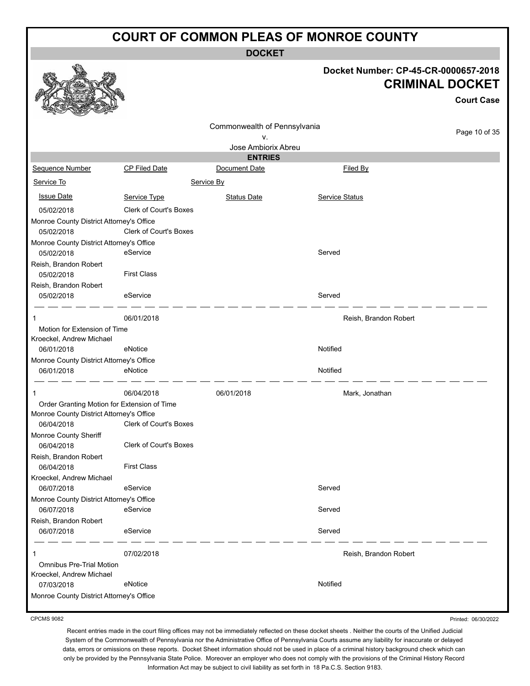**DOCKET**

**Docket Number: CP-45-CR-0000657-2018**

|                                                        |                               |                                 |                       | <b>CRIMINAL DOCKET</b><br><b>Court Case</b> |
|--------------------------------------------------------|-------------------------------|---------------------------------|-----------------------|---------------------------------------------|
|                                                        |                               | Commonwealth of Pennsylvania    |                       | Page 10 of 35                               |
|                                                        |                               | ν.                              |                       |                                             |
|                                                        |                               | Jose Ambiorix Abreu             |                       |                                             |
| Sequence Number                                        | <b>CP Filed Date</b>          | <b>ENTRIES</b><br>Document Date | Filed By              |                                             |
|                                                        |                               |                                 |                       |                                             |
| Service To                                             |                               | Service By                      |                       |                                             |
| <b>Issue Date</b>                                      | Service Type                  | <b>Status Date</b>              | <b>Service Status</b> |                                             |
| 05/02/2018                                             | Clerk of Court's Boxes        |                                 |                       |                                             |
| Monroe County District Attorney's Office               |                               |                                 |                       |                                             |
| 05/02/2018                                             | <b>Clerk of Court's Boxes</b> |                                 |                       |                                             |
| Monroe County District Attorney's Office               | eService                      |                                 | Served                |                                             |
| 05/02/2018<br>Reish, Brandon Robert                    |                               |                                 |                       |                                             |
| 05/02/2018                                             | <b>First Class</b>            |                                 |                       |                                             |
| Reish, Brandon Robert                                  |                               |                                 |                       |                                             |
| 05/02/2018                                             | eService                      |                                 | Served                |                                             |
| 1                                                      | 06/01/2018                    |                                 | Reish, Brandon Robert |                                             |
| Motion for Extension of Time                           |                               |                                 |                       |                                             |
| Kroeckel, Andrew Michael                               |                               |                                 | Notified              |                                             |
| 06/01/2018<br>Monroe County District Attorney's Office | eNotice                       |                                 |                       |                                             |
| 06/01/2018                                             | eNotice                       |                                 | Notified              |                                             |
| 1                                                      | 06/04/2018                    | 06/01/2018                      | Mark, Jonathan        |                                             |
| Order Granting Motion for Extension of Time            |                               |                                 |                       |                                             |
| Monroe County District Attorney's Office               |                               |                                 |                       |                                             |
| 06/04/2018                                             | Clerk of Court's Boxes        |                                 |                       |                                             |
| Monroe County Sheriff<br>06/04/2018                    | Clerk of Court's Boxes        |                                 |                       |                                             |
| Reish, Brandon Robert                                  |                               |                                 |                       |                                             |
| 06/04/2018                                             | <b>First Class</b>            |                                 |                       |                                             |
| Kroeckel, Andrew Michael                               |                               |                                 |                       |                                             |
| 06/07/2018                                             | eService                      |                                 | Served                |                                             |
| Monroe County District Attorney's Office               |                               |                                 |                       |                                             |
| 06/07/2018                                             | eService                      |                                 | Served                |                                             |
| Reish, Brandon Robert                                  |                               |                                 |                       |                                             |
| 06/07/2018                                             | eService                      |                                 | Served                |                                             |
| 1                                                      | 07/02/2018                    |                                 | Reish, Brandon Robert |                                             |
| <b>Omnibus Pre-Trial Motion</b>                        |                               |                                 |                       |                                             |
| Kroeckel, Andrew Michael<br>07/03/2018                 | eNotice                       |                                 | Notified              |                                             |
| Monroe County District Attorney's Office               |                               |                                 |                       |                                             |
|                                                        |                               |                                 |                       |                                             |

CPCMS 9082

a An

Printed: 06/30/2022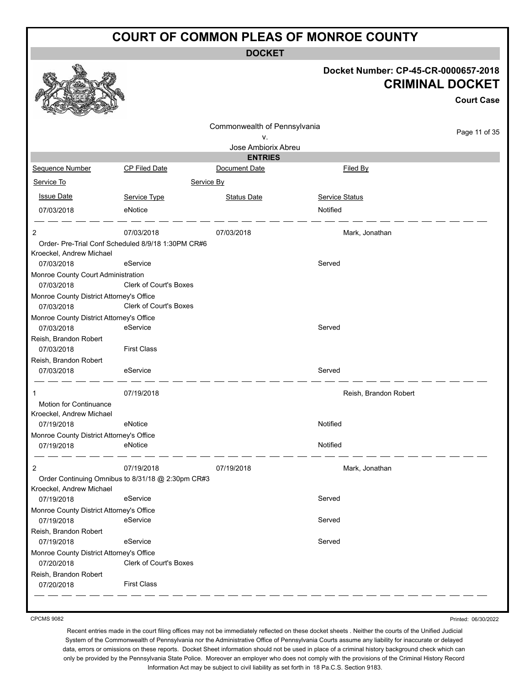**DOCKET**

|                                                        |                                                                | <b>DOCKEI</b>                |                                                                                     |
|--------------------------------------------------------|----------------------------------------------------------------|------------------------------|-------------------------------------------------------------------------------------|
|                                                        |                                                                |                              | Docket Number: CP-45-CR-0000657-2018<br><b>CRIMINAL DOCKET</b><br><b>Court Case</b> |
|                                                        |                                                                | Commonwealth of Pennsylvania |                                                                                     |
|                                                        |                                                                | ٧.                           | Page 11 of 35                                                                       |
|                                                        |                                                                | Jose Ambiorix Abreu          |                                                                                     |
|                                                        |                                                                | <b>ENTRIES</b>               |                                                                                     |
| Sequence Number                                        | CP Filed Date                                                  | Document Date                | Filed By                                                                            |
| Service To                                             | Service By                                                     |                              |                                                                                     |
| <b>Issue Date</b>                                      | Service Type                                                   | <b>Status Date</b>           | Service Status                                                                      |
| 07/03/2018                                             | eNotice                                                        |                              | Notified                                                                            |
| 2                                                      | 07/03/2018                                                     | 07/03/2018                   | Mark, Jonathan                                                                      |
| Kroeckel, Andrew Michael<br>07/03/2018                 | Order- Pre-Trial Conf Scheduled 8/9/18 1:30PM CR#6<br>eService |                              | Served                                                                              |
| Monroe County Court Administration<br>07/03/2018       | Clerk of Court's Boxes                                         |                              |                                                                                     |
| Monroe County District Attorney's Office<br>07/03/2018 | Clerk of Court's Boxes                                         |                              |                                                                                     |
| Monroe County District Attorney's Office<br>07/03/2018 | eService                                                       |                              | Served                                                                              |
| Reish, Brandon Robert<br>07/03/2018                    | <b>First Class</b>                                             |                              |                                                                                     |
| Reish, Brandon Robert                                  |                                                                |                              |                                                                                     |
| 07/03/2018                                             | eService                                                       |                              | Served                                                                              |
|                                                        | 07/19/2018                                                     |                              | Reish, Brandon Robert                                                               |
| Motion for Continuance<br>Kroeckel, Andrew Michael     |                                                                |                              |                                                                                     |
| 07/19/2018                                             | eNotice                                                        |                              | Notified                                                                            |
| Monroe County District Attorney's Office<br>07/19/2018 | eNotice                                                        |                              | Notified                                                                            |
| 2                                                      | 07/19/2018                                                     | 07/19/2018                   | Mark, Jonathan                                                                      |
| Kroeckel, Andrew Michael                               | Order Continuing Omnibus to 8/31/18 @ 2:30pm CR#3              |                              |                                                                                     |
| 07/19/2018                                             | eService                                                       |                              | Served                                                                              |
| Monroe County District Attorney's Office               |                                                                |                              |                                                                                     |
| 07/19/2018                                             | eService                                                       |                              | Served                                                                              |
| Reish, Brandon Robert<br>07/19/2018                    | eService                                                       |                              | Served                                                                              |
| Monroe County District Attorney's Office               |                                                                |                              |                                                                                     |
| 07/20/2018                                             | Clerk of Court's Boxes                                         |                              |                                                                                     |
| Reish, Brandon Robert                                  |                                                                |                              |                                                                                     |
| 07/20/2018                                             | <b>First Class</b>                                             |                              |                                                                                     |
|                                                        |                                                                |                              |                                                                                     |

CPCMS 9082

Printed: 06/30/2022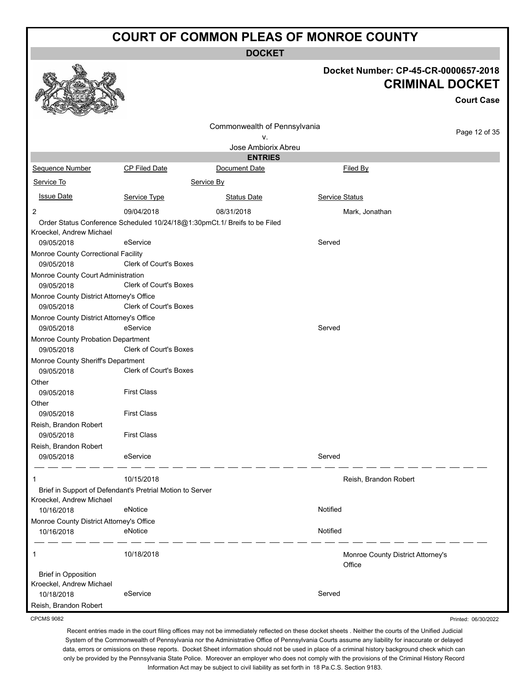**DOCKET**

|                                                           |                               | DUUNE I                                                                   |                                             |                                             |
|-----------------------------------------------------------|-------------------------------|---------------------------------------------------------------------------|---------------------------------------------|---------------------------------------------|
|                                                           |                               |                                                                           | Docket Number: CP-45-CR-0000657-2018        | <b>CRIMINAL DOCKET</b><br><b>Court Case</b> |
|                                                           |                               | Commonwealth of Pennsylvania                                              |                                             |                                             |
|                                                           |                               | ۷.                                                                        |                                             | Page 12 of 35                               |
|                                                           |                               | Jose Ambiorix Abreu                                                       |                                             |                                             |
|                                                           |                               | <b>ENTRIES</b>                                                            |                                             |                                             |
| Sequence Number                                           | <b>CP Filed Date</b>          | Document Date                                                             | Filed By                                    |                                             |
| Service To                                                |                               | Service By                                                                |                                             |                                             |
| <b>Issue Date</b>                                         | Service Type                  | <b>Status Date</b>                                                        | <b>Service Status</b>                       |                                             |
| 2                                                         | 09/04/2018                    | 08/31/2018                                                                | Mark, Jonathan                              |                                             |
| Kroeckel, Andrew Michael                                  |                               | Order Status Conference Scheduled 10/24/18@1:30pmCt.1/ Breifs to be Filed |                                             |                                             |
| 09/05/2018                                                | eService                      |                                                                           | Served                                      |                                             |
| Monroe County Correctional Facility<br>09/05/2018         | <b>Clerk of Court's Boxes</b> |                                                                           |                                             |                                             |
| Monroe County Court Administration<br>09/05/2018          | <b>Clerk of Court's Boxes</b> |                                                                           |                                             |                                             |
| Monroe County District Attorney's Office<br>09/05/2018    | <b>Clerk of Court's Boxes</b> |                                                                           |                                             |                                             |
| Monroe County District Attorney's Office<br>09/05/2018    | eService                      |                                                                           | Served                                      |                                             |
| Monroe County Probation Department                        |                               |                                                                           |                                             |                                             |
| 09/05/2018                                                | <b>Clerk of Court's Boxes</b> |                                                                           |                                             |                                             |
| Monroe County Sheriff's Department                        |                               |                                                                           |                                             |                                             |
| 09/05/2018                                                | <b>Clerk of Court's Boxes</b> |                                                                           |                                             |                                             |
| Other<br>09/05/2018                                       | <b>First Class</b>            |                                                                           |                                             |                                             |
| Other                                                     |                               |                                                                           |                                             |                                             |
| 09/05/2018                                                | <b>First Class</b>            |                                                                           |                                             |                                             |
| Reish, Brandon Robert                                     |                               |                                                                           |                                             |                                             |
| 09/05/2018                                                | <b>First Class</b>            |                                                                           |                                             |                                             |
| Reish, Brandon Robert                                     |                               |                                                                           |                                             |                                             |
| 09/05/2018                                                | eService                      |                                                                           | Served                                      |                                             |
| 1                                                         | 10/15/2018                    |                                                                           | Reish, Brandon Robert                       |                                             |
| Brief in Support of Defendant's Pretrial Motion to Server |                               |                                                                           |                                             |                                             |
| Kroeckel, Andrew Michael                                  |                               |                                                                           |                                             |                                             |
| 10/16/2018                                                | eNotice                       |                                                                           | Notified                                    |                                             |
| Monroe County District Attorney's Office<br>10/16/2018    | eNotice                       |                                                                           | Notified                                    |                                             |
| 1                                                         | 10/18/2018                    |                                                                           | Monroe County District Attorney's<br>Office |                                             |
| <b>Brief in Opposition</b><br>Kroeckel, Andrew Michael    |                               |                                                                           |                                             |                                             |
| 10/18/2018                                                | eService                      |                                                                           | Served                                      |                                             |
| Reish, Brandon Robert                                     |                               |                                                                           |                                             |                                             |

CPCMS 9082

Recent entries made in the court filing offices may not be immediately reflected on these docket sheets . Neither the courts of the Unified Judicial System of the Commonwealth of Pennsylvania nor the Administrative Office of Pennsylvania Courts assume any liability for inaccurate or delayed data, errors or omissions on these reports. Docket Sheet information should not be used in place of a criminal history background check which can only be provided by the Pennsylvania State Police. Moreover an employer who does not comply with the provisions of the Criminal History Record Information Act may be subject to civil liability as set forth in 18 Pa.C.S. Section 9183.

Printed: 06/30/2022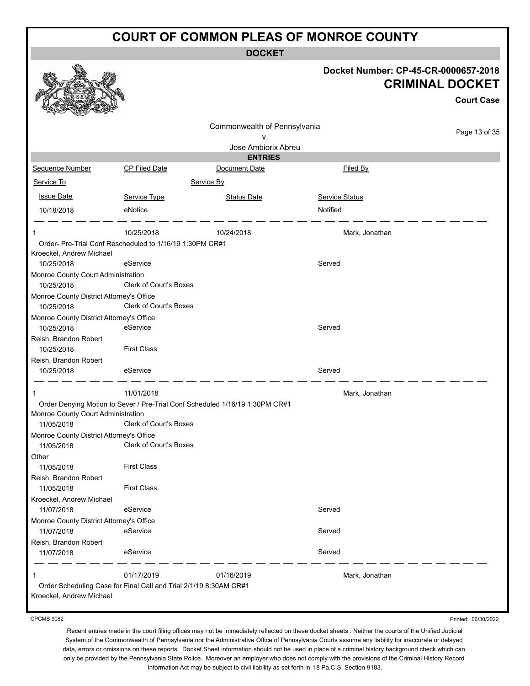**DOCKET**

|                                          |                                                                   | ו שטע                                                                        |                                      |                                             |
|------------------------------------------|-------------------------------------------------------------------|------------------------------------------------------------------------------|--------------------------------------|---------------------------------------------|
|                                          |                                                                   |                                                                              | Docket Number: CP-45-CR-0000657-2018 | <b>CRIMINAL DOCKET</b><br><b>Court Case</b> |
|                                          |                                                                   |                                                                              |                                      |                                             |
|                                          |                                                                   |                                                                              |                                      |                                             |
|                                          |                                                                   | Commonwealth of Pennsylvania                                                 |                                      | Page 13 of 35                               |
|                                          |                                                                   | ۷.<br>Jose Ambiorix Abreu                                                    |                                      |                                             |
|                                          |                                                                   | <b>ENTRIES</b>                                                               |                                      |                                             |
| Sequence Number                          | <b>CP Filed Date</b>                                              | Document Date                                                                | Filed By                             |                                             |
| Service To                               |                                                                   |                                                                              |                                      |                                             |
|                                          |                                                                   | Service By                                                                   |                                      |                                             |
| <b>Issue Date</b>                        | Service Type                                                      | <b>Status Date</b>                                                           | Service Status                       |                                             |
| 10/18/2018                               | eNotice                                                           |                                                                              | Notified                             |                                             |
|                                          |                                                                   |                                                                              |                                      |                                             |
| 1                                        | 10/25/2018                                                        | 10/24/2018                                                                   | Mark, Jonathan                       |                                             |
|                                          | Order- Pre-Trial Conf Rescheduled to 1/16/19 1:30PM CR#1          |                                                                              |                                      |                                             |
| Kroeckel, Andrew Michael<br>10/25/2018   | eService                                                          |                                                                              | Served                               |                                             |
| Monroe County Court Administration       |                                                                   |                                                                              |                                      |                                             |
| 10/25/2018                               | Clerk of Court's Boxes                                            |                                                                              |                                      |                                             |
| Monroe County District Attorney's Office |                                                                   |                                                                              |                                      |                                             |
| 10/25/2018                               | Clerk of Court's Boxes                                            |                                                                              |                                      |                                             |
| Monroe County District Attorney's Office |                                                                   |                                                                              |                                      |                                             |
| 10/25/2018                               | eService                                                          |                                                                              | Served                               |                                             |
| Reish, Brandon Robert                    |                                                                   |                                                                              |                                      |                                             |
| 10/25/2018                               | <b>First Class</b>                                                |                                                                              |                                      |                                             |
| Reish, Brandon Robert                    |                                                                   |                                                                              |                                      |                                             |
| 10/25/2018                               | eService                                                          |                                                                              | Served                               |                                             |
|                                          | 11/01/2018                                                        |                                                                              | Mark, Jonathan                       |                                             |
|                                          |                                                                   | Order Denying Motion to Sever / Pre-Trial Conf Scheduled 1/16/19 1:30PM CR#1 |                                      |                                             |
| Monroe County Court Administration       |                                                                   |                                                                              |                                      |                                             |
| 11/05/2018                               | <b>Clerk of Court's Boxes</b>                                     |                                                                              |                                      |                                             |
| Monroe County District Attorney's Office |                                                                   |                                                                              |                                      |                                             |
| 11/05/2018                               | Clerk of Court's Boxes                                            |                                                                              |                                      |                                             |
| Other                                    |                                                                   |                                                                              |                                      |                                             |
| 11/05/2018                               | <b>First Class</b>                                                |                                                                              |                                      |                                             |
| Reish, Brandon Robert                    |                                                                   |                                                                              |                                      |                                             |
| 11/05/2018                               | <b>First Class</b>                                                |                                                                              |                                      |                                             |
| Kroeckel, Andrew Michael<br>11/07/2018   | eService                                                          |                                                                              | Served                               |                                             |
| Monroe County District Attorney's Office |                                                                   |                                                                              |                                      |                                             |
| 11/07/2018                               | eService                                                          |                                                                              | Served                               |                                             |
| Reish, Brandon Robert                    |                                                                   |                                                                              |                                      |                                             |
| 11/07/2018                               | eService                                                          |                                                                              | Served                               |                                             |
|                                          |                                                                   |                                                                              |                                      |                                             |
|                                          | 01/17/2019                                                        | 01/16/2019                                                                   | Mark, Jonathan                       |                                             |
|                                          | Order Scheduling Case for Final Call and Trial 2/1/19 8:30AM CR#1 |                                                                              |                                      |                                             |
| Kroeckel, Andrew Michael                 |                                                                   |                                                                              |                                      |                                             |
|                                          |                                                                   |                                                                              |                                      |                                             |

CPCMS 9082

Printed: 06/30/2022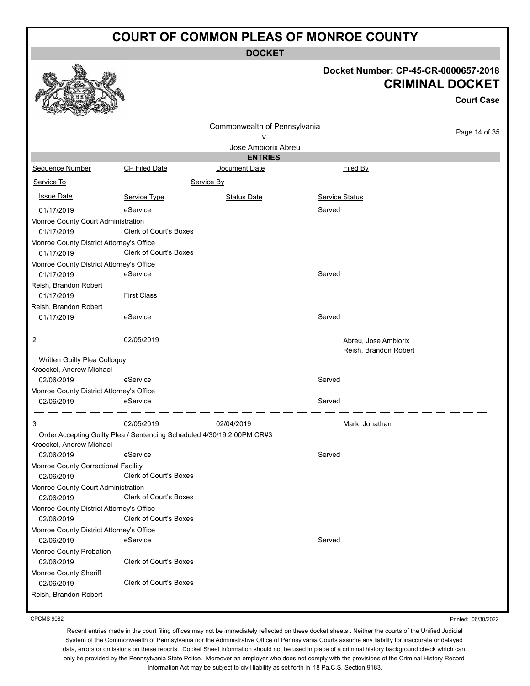**DOCKET**

#### **Docket Number: CP-45-CR-0000657-2018 CRIMINAL DOCKET**

|                                                        |                                                                        |                              |                       | <b>Court Case</b> |
|--------------------------------------------------------|------------------------------------------------------------------------|------------------------------|-----------------------|-------------------|
|                                                        |                                                                        | Commonwealth of Pennsylvania |                       |                   |
|                                                        |                                                                        | v.                           |                       | Page 14 of 35     |
|                                                        |                                                                        | Jose Ambiorix Abreu          |                       |                   |
|                                                        |                                                                        | <b>ENTRIES</b>               |                       |                   |
| Sequence Number                                        | <b>CP Filed Date</b>                                                   | Document Date                | Filed By              |                   |
| Service To                                             |                                                                        | Service By                   |                       |                   |
| <b>Issue Date</b>                                      | Service Type                                                           | <b>Status Date</b>           | Service Status        |                   |
| 01/17/2019                                             | eService                                                               |                              | Served                |                   |
| Monroe County Court Administration                     |                                                                        |                              |                       |                   |
| 01/17/2019                                             | Clerk of Court's Boxes                                                 |                              |                       |                   |
| Monroe County District Attorney's Office               |                                                                        |                              |                       |                   |
| 01/17/2019                                             | Clerk of Court's Boxes                                                 |                              |                       |                   |
| Monroe County District Attorney's Office               |                                                                        |                              |                       |                   |
| 01/17/2019                                             | eService                                                               |                              | Served                |                   |
| Reish, Brandon Robert                                  |                                                                        |                              |                       |                   |
| 01/17/2019                                             | <b>First Class</b>                                                     |                              |                       |                   |
| Reish, Brandon Robert                                  |                                                                        |                              |                       |                   |
| 01/17/2019                                             | eService                                                               |                              | Served                |                   |
| 2                                                      | 02/05/2019                                                             |                              | Abreu, Jose Ambiorix  |                   |
|                                                        |                                                                        |                              | Reish, Brandon Robert |                   |
| Written Guilty Plea Colloquy                           |                                                                        |                              |                       |                   |
| Kroeckel, Andrew Michael                               |                                                                        |                              |                       |                   |
| 02/06/2019                                             | eService                                                               |                              | Served                |                   |
| Monroe County District Attorney's Office<br>02/06/2019 | eService                                                               |                              | Served                |                   |
|                                                        |                                                                        |                              |                       |                   |
| 3                                                      | 02/05/2019                                                             | 02/04/2019                   | Mark, Jonathan        |                   |
|                                                        | Order Accepting Guilty Plea / Sentencing Scheduled 4/30/19 2:00PM CR#3 |                              |                       |                   |
| Kroeckel, Andrew Michael                               |                                                                        |                              |                       |                   |
| 02/06/2019                                             | eService                                                               |                              | Served                |                   |
| Monroe County Correctional Facility                    |                                                                        |                              |                       |                   |
| 02/06/2019                                             | <b>Clerk of Court's Boxes</b>                                          |                              |                       |                   |
| Monroe County Court Administration                     |                                                                        |                              |                       |                   |
| 02/06/2019                                             | Clerk of Court's Boxes                                                 |                              |                       |                   |
| Monroe County District Attorney's Office<br>02/06/2019 | Clerk of Court's Boxes                                                 |                              |                       |                   |
| Monroe County District Attorney's Office               |                                                                        |                              |                       |                   |
| 02/06/2019                                             | eService                                                               |                              | Served                |                   |
| Monroe County Probation                                |                                                                        |                              |                       |                   |
| 02/06/2019                                             | Clerk of Court's Boxes                                                 |                              |                       |                   |
| Monroe County Sheriff                                  |                                                                        |                              |                       |                   |
| 02/06/2019                                             | Clerk of Court's Boxes                                                 |                              |                       |                   |
| Reish, Brandon Robert                                  |                                                                        |                              |                       |                   |

CPCMS 9082

Printed: 06/30/2022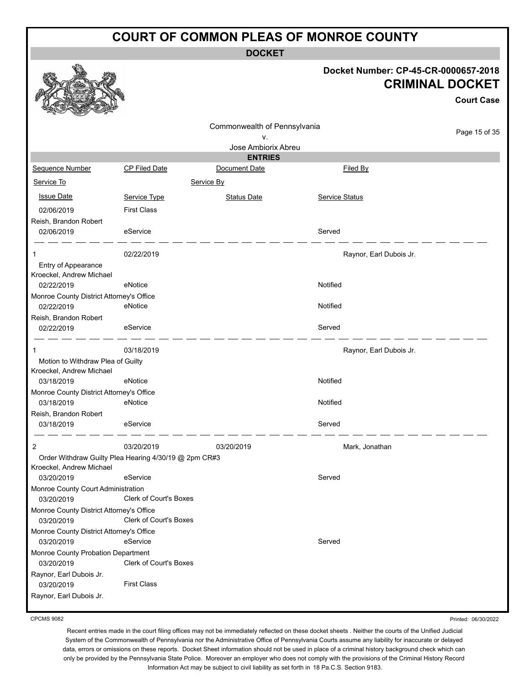**DOCKET**

#### **Docket Number: CP-45-CR-0000657-2018 CRIMINAL DOCKET**

**Court Case**

|                                                        |                                                       | Commonwealth of Pennsylvania |                         |               |
|--------------------------------------------------------|-------------------------------------------------------|------------------------------|-------------------------|---------------|
|                                                        |                                                       | ۷.                           |                         | Page 15 of 35 |
|                                                        |                                                       | Jose Ambiorix Abreu          |                         |               |
|                                                        |                                                       | <b>ENTRIES</b>               |                         |               |
| Sequence Number                                        | <b>CP Filed Date</b>                                  | Document Date                | Filed By                |               |
| Service To                                             |                                                       | Service By                   |                         |               |
| <b>Issue Date</b>                                      | Service Type                                          | <b>Status Date</b>           | Service Status          |               |
| 02/06/2019                                             | <b>First Class</b>                                    |                              |                         |               |
| Reish, Brandon Robert                                  |                                                       |                              |                         |               |
| 02/06/2019                                             | eService                                              |                              | Served                  |               |
|                                                        | 02/22/2019                                            |                              | Raynor, Earl Dubois Jr. |               |
| Entry of Appearance                                    |                                                       |                              |                         |               |
| Kroeckel, Andrew Michael                               |                                                       |                              |                         |               |
| 02/22/2019                                             | eNotice                                               |                              | Notified                |               |
| Monroe County District Attorney's Office               |                                                       |                              |                         |               |
| 02/22/2019                                             | eNotice                                               |                              | Notified                |               |
| Reish, Brandon Robert                                  |                                                       |                              |                         |               |
| 02/22/2019                                             | eService                                              |                              | Served                  |               |
| 1                                                      | 03/18/2019                                            |                              | Raynor, Earl Dubois Jr. |               |
| Motion to Withdraw Plea of Guilty                      |                                                       |                              |                         |               |
| Kroeckel, Andrew Michael                               |                                                       |                              |                         |               |
| 03/18/2019                                             | eNotice                                               |                              | Notified                |               |
| Monroe County District Attorney's Office               |                                                       |                              |                         |               |
| 03/18/2019                                             | eNotice                                               |                              | Notified                |               |
| Reish, Brandon Robert                                  |                                                       |                              | Served                  |               |
| 03/18/2019                                             | eService                                              |                              |                         |               |
| 2                                                      | 03/20/2019                                            | 03/20/2019                   | Mark, Jonathan          |               |
|                                                        | Order Withdraw Guilty Plea Hearing 4/30/19 @ 2pm CR#3 |                              |                         |               |
| Kroeckel, Andrew Michael                               |                                                       |                              |                         |               |
| 03/20/2019                                             | eService                                              |                              | Served                  |               |
| Monroe County Court Administration                     | <b>Clerk of Court's Boxes</b>                         |                              |                         |               |
| 03/20/2019<br>Monroe County District Attorney's Office |                                                       |                              |                         |               |
| 03/20/2019                                             | Clerk of Court's Boxes                                |                              |                         |               |
| Monroe County District Attorney's Office               |                                                       |                              |                         |               |
| 03/20/2019                                             | eService                                              |                              | Served                  |               |
| Monroe County Probation Department                     |                                                       |                              |                         |               |
| 03/20/2019                                             | Clerk of Court's Boxes                                |                              |                         |               |
| Raynor, Earl Dubois Jr.                                |                                                       |                              |                         |               |
| 03/20/2019                                             | <b>First Class</b>                                    |                              |                         |               |
| Raynor, Earl Dubois Jr.                                |                                                       |                              |                         |               |
|                                                        |                                                       |                              |                         |               |

CPCMS 9082

Recent entries made in the court filing offices may not be immediately reflected on these docket sheets . Neither the courts of the Unified Judicial System of the Commonwealth of Pennsylvania nor the Administrative Office of Pennsylvania Courts assume any liability for inaccurate or delayed data, errors or omissions on these reports. Docket Sheet information should not be used in place of a criminal history background check which can only be provided by the Pennsylvania State Police. Moreover an employer who does not comply with the provisions of the Criminal History Record Information Act may be subject to civil liability as set forth in 18 Pa.C.S. Section 9183.

Printed: 06/30/2022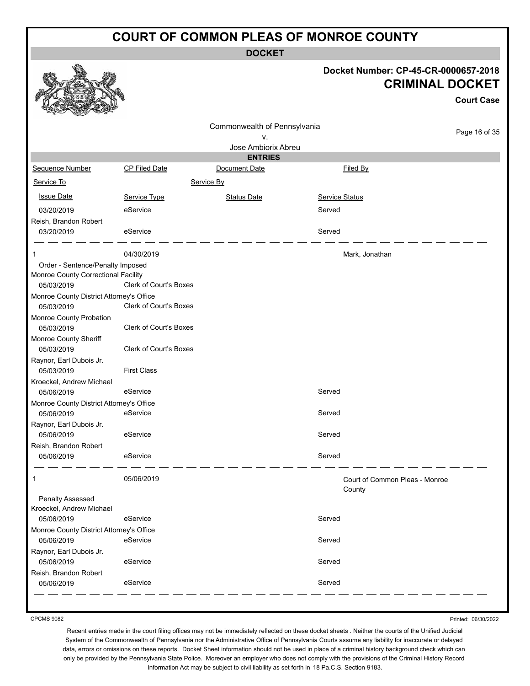**DOCKET**

#### **Docket Number: CP-45-CR-0000657-2018 CRIMINAL DOCKET**

**Court Case**

|                                                        |                               | Commonwealth of Pennsylvania |                                |               |
|--------------------------------------------------------|-------------------------------|------------------------------|--------------------------------|---------------|
|                                                        |                               | ν.                           |                                | Page 16 of 35 |
|                                                        |                               | Jose Ambiorix Abreu          |                                |               |
|                                                        |                               | <b>ENTRIES</b>               |                                |               |
| Sequence Number                                        | <b>CP Filed Date</b>          | Document Date                | Filed By                       |               |
| Service To                                             |                               | Service By                   |                                |               |
| <b>Issue Date</b>                                      | Service Type                  | <b>Status Date</b>           | Service Status                 |               |
| 03/20/2019                                             | eService                      |                              | Served                         |               |
| Reish, Brandon Robert                                  |                               |                              |                                |               |
| 03/20/2019                                             | eService                      |                              | Served                         |               |
|                                                        |                               |                              |                                |               |
| 1                                                      | 04/30/2019                    |                              | Mark, Jonathan                 |               |
| Order - Sentence/Penalty Imposed                       |                               |                              |                                |               |
| Monroe County Correctional Facility                    |                               |                              |                                |               |
| 05/03/2019                                             | <b>Clerk of Court's Boxes</b> |                              |                                |               |
| Monroe County District Attorney's Office               | <b>Clerk of Court's Boxes</b> |                              |                                |               |
| 05/03/2019                                             |                               |                              |                                |               |
| Monroe County Probation<br>05/03/2019                  | <b>Clerk of Court's Boxes</b> |                              |                                |               |
|                                                        |                               |                              |                                |               |
| Monroe County Sheriff<br>05/03/2019                    | <b>Clerk of Court's Boxes</b> |                              |                                |               |
| Raynor, Earl Dubois Jr.                                |                               |                              |                                |               |
| 05/03/2019                                             | <b>First Class</b>            |                              |                                |               |
| Kroeckel, Andrew Michael                               |                               |                              |                                |               |
| 05/06/2019                                             | eService                      |                              | Served                         |               |
| Monroe County District Attorney's Office               |                               |                              |                                |               |
| 05/06/2019                                             | eService                      |                              | Served                         |               |
| Raynor, Earl Dubois Jr.                                |                               |                              |                                |               |
| 05/06/2019                                             | eService                      |                              | Served                         |               |
| Reish, Brandon Robert                                  |                               |                              |                                |               |
| 05/06/2019                                             | eService                      |                              | Served                         |               |
|                                                        |                               |                              |                                |               |
| 1                                                      | 05/06/2019                    |                              | Court of Common Pleas - Monroe |               |
|                                                        |                               |                              | County                         |               |
| Penalty Assessed                                       |                               |                              |                                |               |
| Kroeckel, Andrew Michael                               | eService                      |                              | Served                         |               |
| 05/06/2019                                             |                               |                              |                                |               |
| Monroe County District Attorney's Office<br>05/06/2019 | eService                      |                              | Served                         |               |
| Raynor, Earl Dubois Jr.                                |                               |                              |                                |               |
| 05/06/2019                                             | eService                      |                              | Served                         |               |
| Reish, Brandon Robert                                  |                               |                              |                                |               |
| 05/06/2019                                             | eService                      |                              | Served                         |               |
|                                                        |                               |                              |                                |               |

CPCMS 9082

Printed: 06/30/2022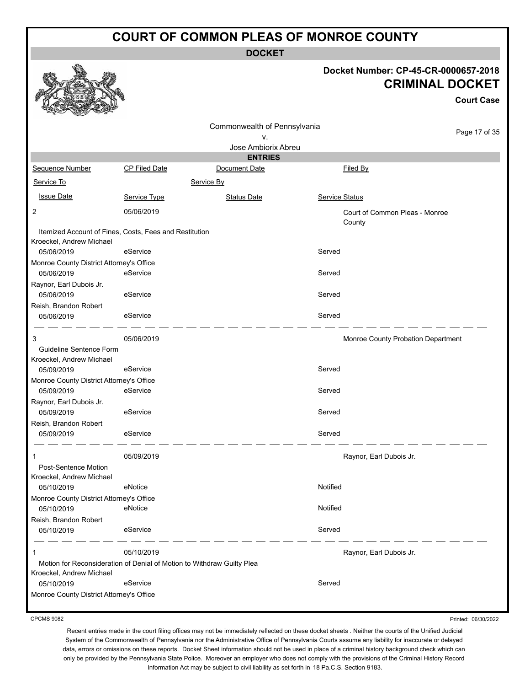**DOCKET**

#### **Docket Number: CP-45-CR-0000657-2018 CRIMINAL DOCKET**

**Court Case**

|                                                                                    |                      | Commonwealth of Pennsylvania |                | Page 17 of 35                            |
|------------------------------------------------------------------------------------|----------------------|------------------------------|----------------|------------------------------------------|
|                                                                                    |                      | ν.                           |                |                                          |
|                                                                                    |                      | Jose Ambiorix Abreu          |                |                                          |
|                                                                                    |                      | <b>ENTRIES</b>               |                |                                          |
| Sequence Number                                                                    | <b>CP Filed Date</b> | Document Date                |                | Filed By                                 |
| Service To                                                                         |                      | Service By                   |                |                                          |
| <b>Issue Date</b>                                                                  | Service Type         | <b>Status Date</b>           | Service Status |                                          |
| 2                                                                                  | 05/06/2019           |                              |                | Court of Common Pleas - Monroe<br>County |
| Itemized Account of Fines, Costs, Fees and Restitution<br>Kroeckel, Andrew Michael |                      |                              |                |                                          |
| 05/06/2019                                                                         | eService             |                              | Served         |                                          |
| Monroe County District Attorney's Office<br>05/06/2019                             | eService             |                              | Served         |                                          |
| Raynor, Earl Dubois Jr.                                                            |                      |                              |                |                                          |
| 05/06/2019                                                                         | eService             |                              | Served         |                                          |
| Reish, Brandon Robert                                                              |                      |                              |                |                                          |
| 05/06/2019                                                                         | eService             |                              | Served         |                                          |
| 3                                                                                  | 05/06/2019           |                              |                | Monroe County Probation Department       |
| Guideline Sentence Form<br>Kroeckel, Andrew Michael                                |                      |                              |                |                                          |
| 05/09/2019                                                                         | eService             |                              | Served         |                                          |
| Monroe County District Attorney's Office                                           | eService             |                              | Served         |                                          |
| 05/09/2019<br>Raynor, Earl Dubois Jr.                                              |                      |                              |                |                                          |
| 05/09/2019                                                                         | eService             |                              | Served         |                                          |
| Reish, Brandon Robert                                                              |                      |                              |                |                                          |
| 05/09/2019                                                                         | eService             |                              | Served         |                                          |
| 1                                                                                  | 05/09/2019           |                              |                | Raynor, Earl Dubois Jr.                  |
| Post-Sentence Motion                                                               |                      |                              |                |                                          |
| Kroeckel, Andrew Michael                                                           |                      |                              |                |                                          |
| 05/10/2019                                                                         | eNotice              |                              | Notified       |                                          |
| Monroe County District Attorney's Office<br>05/10/2019                             | eNotice              |                              | Notified       |                                          |
| Reish, Brandon Robert                                                              |                      |                              |                |                                          |
| 05/10/2019                                                                         | eService             |                              | Served         |                                          |
|                                                                                    | 05/10/2019           |                              |                | Raynor, Earl Dubois Jr.                  |
| Motion for Reconsideration of Denial of Motion to Withdraw Guilty Plea             |                      |                              |                |                                          |
| Kroeckel, Andrew Michael<br>05/10/2019                                             | eService             |                              | Served         |                                          |
| Monroe County District Attorney's Office                                           |                      |                              |                |                                          |
|                                                                                    |                      |                              |                |                                          |

CPCMS 9082

Printed: 06/30/2022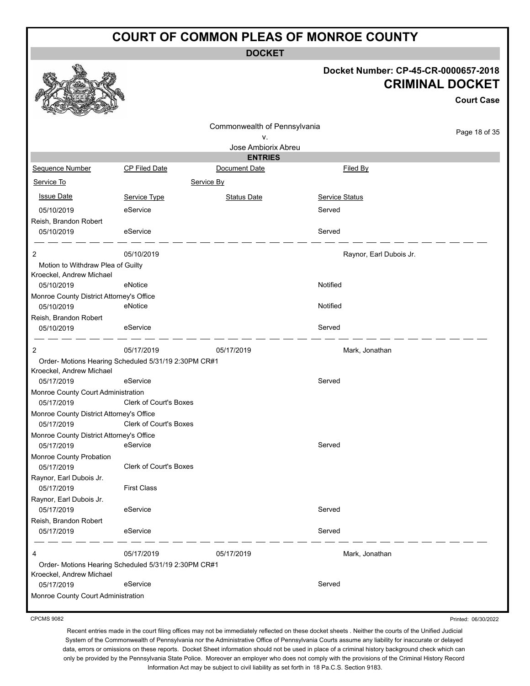**DOCKET**

#### **Docket Number: CP-45-CR-0000657-2018 CRIMINAL DOCKET**

**Court Case**

Page 18 of 35 Commonwealth of Pennsylvania v. Jose Ambiorix Abreu **ENTRIES** Sequence Number CP Filed Date Document Date **Document Date** Filed By Service To Service By **Issue Date Service Type** Service Type Status Date Service Status Date Service Status Service Status **Service Status** 05/10/2019 eService Served Reish, Brandon Robert 05/10/2019 eService Served 2 05/10/2019 **CONSERVING SERVICE SERVICE SERVICE SERVICE SERVICE SERVICE SERVICE SERVICE SERVICE SERVICE SERVICE SERVICE SERVICE SERVICE SERVICE SERVICE SERVICE SERVICE SERVICE SERVICE SERVICE SERVICE SERVICE SERVICE SERVI** Motion to Withdraw Plea of Guilty Kroeckel, Andrew Michael 05/10/2019 eNotice Notified Monroe County District Attorney's Office 05/10/2019 eNotice Notified Reish, Brandon Robert 05/10/2019 eService Served 2 05/17/2019 05/17/2019 Mark, Jonathan Order- Motions Hearing Scheduled 5/31/19 2:30PM CR#1 Kroeckel, Andrew Michael 05/17/2019 eService entertainment of the Served Monroe County Court Administration 05/17/2019 Clerk of Court's Boxes Monroe County District Attorney's Office 05/17/2019 Clerk of Court's Boxes Monroe County District Attorney's Office 05/17/2019 eService Served Monroe County Probation 05/17/2019 Clerk of Court's Boxes Raynor, Earl Dubois Jr. 05/17/2019 First Class Raynor, Earl Dubois Jr. 05/17/2019 eService Served Reish, Brandon Robert 05/17/2019 eService Served 4 05/17/2019 05/17/2019 Mark, Jonathan Order- Motions Hearing Scheduled 5/31/19 2:30PM CR#1 Kroeckel, Andrew Michael 05/17/2019 eService Served Monroe County Court Administration

CPCMS 9082

Printed: 06/30/2022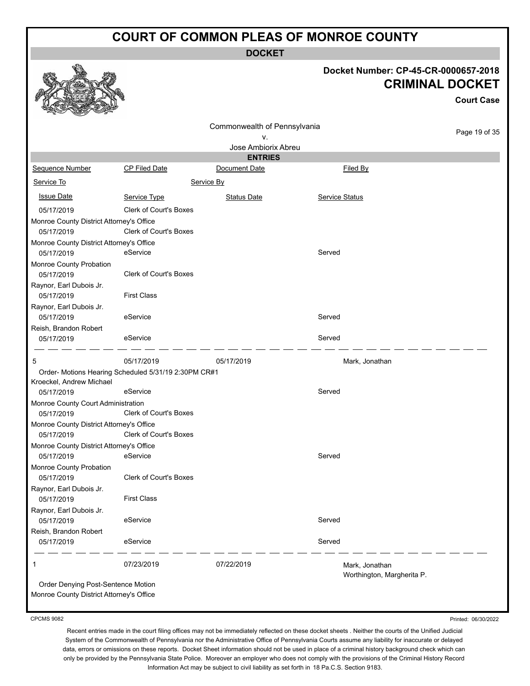**DOCKET**

#### **Docket Number: CP-45-CR-0000657-2018 CRIMINAL DOCKET**

**Court Case**

| مستنصب                                   |                                                      |                              |                            |               |
|------------------------------------------|------------------------------------------------------|------------------------------|----------------------------|---------------|
|                                          |                                                      | Commonwealth of Pennsylvania |                            |               |
|                                          |                                                      | ۷.                           |                            | Page 19 of 35 |
|                                          |                                                      | Jose Ambiorix Abreu          |                            |               |
|                                          |                                                      | <b>ENTRIES</b>               |                            |               |
| Sequence Number                          | <b>CP Filed Date</b>                                 | Document Date                | Filed By                   |               |
| Service To                               |                                                      | Service By                   |                            |               |
| <b>Issue Date</b>                        | Service Type                                         | <b>Status Date</b>           | Service Status             |               |
| 05/17/2019                               | <b>Clerk of Court's Boxes</b>                        |                              |                            |               |
| Monroe County District Attorney's Office |                                                      |                              |                            |               |
| 05/17/2019                               | <b>Clerk of Court's Boxes</b>                        |                              |                            |               |
| Monroe County District Attorney's Office |                                                      |                              |                            |               |
| 05/17/2019                               | eService                                             |                              | Served                     |               |
| Monroe County Probation                  |                                                      |                              |                            |               |
| 05/17/2019                               | <b>Clerk of Court's Boxes</b>                        |                              |                            |               |
| Raynor, Earl Dubois Jr.                  |                                                      |                              |                            |               |
| 05/17/2019                               | <b>First Class</b>                                   |                              |                            |               |
| Raynor, Earl Dubois Jr.                  |                                                      |                              |                            |               |
| 05/17/2019                               | eService                                             |                              | Served                     |               |
| Reish, Brandon Robert                    |                                                      |                              |                            |               |
| 05/17/2019                               | eService                                             |                              | Served                     |               |
|                                          |                                                      |                              |                            |               |
| 5                                        | 05/17/2019                                           | 05/17/2019                   | Mark, Jonathan             |               |
|                                          | Order- Motions Hearing Scheduled 5/31/19 2:30PM CR#1 |                              |                            |               |
| Kroeckel, Andrew Michael                 |                                                      |                              |                            |               |
| 05/17/2019                               | eService                                             |                              | Served                     |               |
| Monroe County Court Administration       |                                                      |                              |                            |               |
| 05/17/2019                               | <b>Clerk of Court's Boxes</b>                        |                              |                            |               |
| Monroe County District Attorney's Office |                                                      |                              |                            |               |
| 05/17/2019                               | <b>Clerk of Court's Boxes</b>                        |                              |                            |               |
| Monroe County District Attorney's Office |                                                      |                              |                            |               |
| 05/17/2019                               | eService                                             |                              | Served                     |               |
| Monroe County Probation                  |                                                      |                              |                            |               |
| 05/17/2019                               | <b>Clerk of Court's Boxes</b>                        |                              |                            |               |
| Raynor, Earl Dubois Jr.                  |                                                      |                              |                            |               |
| 05/17/2019                               | <b>First Class</b>                                   |                              |                            |               |
| Raynor, Earl Dubois Jr.                  |                                                      |                              | Served                     |               |
| 05/17/2019                               | eService                                             |                              |                            |               |
| Reish, Brandon Robert                    | eService                                             |                              | Served                     |               |
| 05/17/2019                               |                                                      |                              |                            |               |
| 1                                        | 07/23/2019                                           | 07/22/2019                   | Mark, Jonathan             |               |
|                                          |                                                      |                              | Worthington, Margherita P. |               |
| Order Denying Post-Sentence Motion       |                                                      |                              |                            |               |
| Monroe County District Attorney's Office |                                                      |                              |                            |               |

#### CPCMS 9082

Printed: 06/30/2022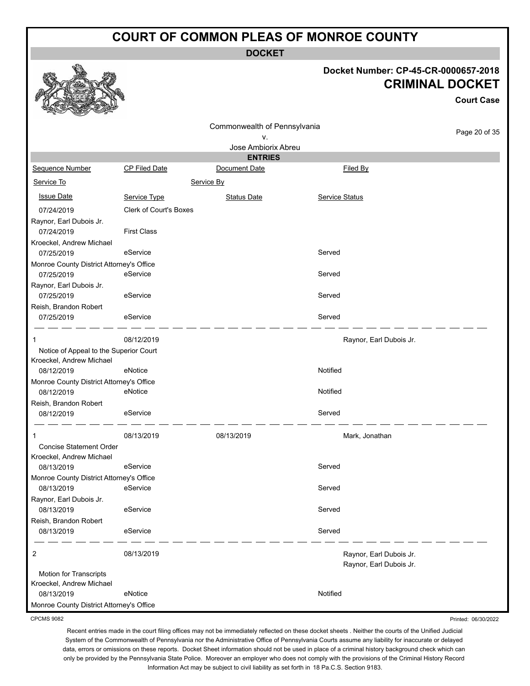**DOCKET**

#### **Docket Number: CP-45-CR-0000657-2018 CRIMINAL DOCKET**

**Court Case**

|                                          |                        |                              |                         | Gourt Gase    |
|------------------------------------------|------------------------|------------------------------|-------------------------|---------------|
|                                          |                        | Commonwealth of Pennsylvania |                         |               |
|                                          |                        | ٧.                           |                         | Page 20 of 35 |
|                                          |                        | Jose Ambiorix Abreu          |                         |               |
|                                          |                        | <b>ENTRIES</b>               |                         |               |
| Sequence Number                          | <b>CP Filed Date</b>   | Document Date                | Filed By                |               |
| Service To                               |                        | Service By                   |                         |               |
| <b>Issue Date</b>                        | Service Type           | <b>Status Date</b>           | Service Status          |               |
| 07/24/2019                               | Clerk of Court's Boxes |                              |                         |               |
| Raynor, Earl Dubois Jr.                  |                        |                              |                         |               |
| 07/24/2019                               | <b>First Class</b>     |                              |                         |               |
| Kroeckel, Andrew Michael                 |                        |                              |                         |               |
| 07/25/2019                               | eService               |                              | Served                  |               |
| Monroe County District Attorney's Office |                        |                              |                         |               |
| 07/25/2019                               | eService               |                              | Served                  |               |
| Raynor, Earl Dubois Jr.                  |                        |                              |                         |               |
| 07/25/2019                               | eService               |                              | Served                  |               |
| Reish, Brandon Robert                    |                        |                              |                         |               |
| 07/25/2019                               | eService               |                              | Served                  |               |
| 1                                        | 08/12/2019             |                              | Raynor, Earl Dubois Jr. |               |
| Notice of Appeal to the Superior Court   |                        |                              |                         |               |
| Kroeckel, Andrew Michael                 |                        |                              |                         |               |
| 08/12/2019                               | eNotice                |                              | Notified                |               |
| Monroe County District Attorney's Office |                        |                              |                         |               |
| 08/12/2019                               | eNotice                |                              | Notified                |               |
| Reish, Brandon Robert                    |                        |                              |                         |               |
| 08/12/2019                               | eService               |                              | Served                  |               |
| 1                                        | 08/13/2019             | 08/13/2019                   | Mark, Jonathan          |               |
| <b>Concise Statement Order</b>           |                        |                              |                         |               |
| Kroeckel, Andrew Michael                 |                        |                              |                         |               |
| 08/13/2019                               | eService               |                              | Served                  |               |
| Monroe County District Attorney's Office |                        |                              |                         |               |
| 08/13/2019 eService                      |                        |                              | Served                  |               |
| Raynor, Earl Dubois Jr.                  |                        |                              |                         |               |
| 08/13/2019                               | eService               |                              | Served                  |               |
| Reish, Brandon Robert                    |                        |                              |                         |               |
| 08/13/2019                               | eService               |                              | Served                  |               |
| $\overline{2}$                           | 08/13/2019             |                              | Raynor, Earl Dubois Jr. |               |
|                                          |                        |                              | Raynor, Earl Dubois Jr. |               |
| Motion for Transcripts                   |                        |                              |                         |               |
| Kroeckel, Andrew Michael                 |                        |                              |                         |               |
| 08/13/2019                               | eNotice                |                              | Notified                |               |
| Monroe County District Attorney's Office |                        |                              |                         |               |

CPCMS 9082

Printed: 06/30/2022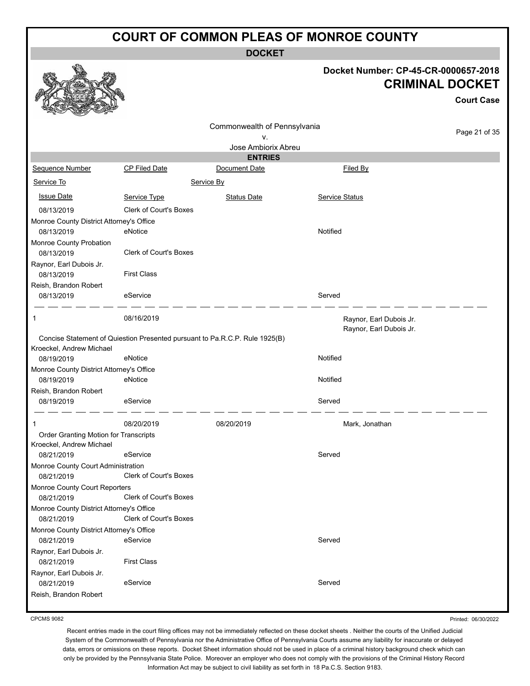**DOCKET**

|                                             |                                                                             | Docket Number: CP-45-CR-0000657-2018 |                                                    |                        |
|---------------------------------------------|-----------------------------------------------------------------------------|--------------------------------------|----------------------------------------------------|------------------------|
|                                             |                                                                             |                                      |                                                    | <b>CRIMINAL DOCKET</b> |
|                                             |                                                                             |                                      |                                                    | <b>Court Case</b>      |
|                                             |                                                                             | Commonwealth of Pennsylvania         |                                                    |                        |
|                                             |                                                                             | ٧.                                   |                                                    | Page 21 of 35          |
|                                             |                                                                             | Jose Ambiorix Abreu                  |                                                    |                        |
|                                             |                                                                             | <b>ENTRIES</b>                       |                                                    |                        |
| Sequence Number                             | <b>CP Filed Date</b>                                                        | Document Date                        | Filed By                                           |                        |
| Service To                                  |                                                                             | Service By                           |                                                    |                        |
| <b>Issue Date</b>                           | Service Type                                                                | <b>Status Date</b>                   | <b>Service Status</b>                              |                        |
| 08/13/2019                                  | <b>Clerk of Court's Boxes</b>                                               |                                      |                                                    |                        |
| Monroe County District Attorney's Office    |                                                                             |                                      |                                                    |                        |
| 08/13/2019                                  | eNotice                                                                     |                                      | Notified                                           |                        |
| Monroe County Probation                     |                                                                             |                                      |                                                    |                        |
| 08/13/2019                                  | <b>Clerk of Court's Boxes</b>                                               |                                      |                                                    |                        |
| Raynor, Earl Dubois Jr.                     |                                                                             |                                      |                                                    |                        |
| 08/13/2019                                  | <b>First Class</b>                                                          |                                      |                                                    |                        |
| Reish, Brandon Robert                       |                                                                             |                                      |                                                    |                        |
| 08/13/2019                                  | eService                                                                    |                                      | Served                                             |                        |
| 1                                           | 08/16/2019                                                                  |                                      | Raynor, Earl Dubois Jr.<br>Raynor, Earl Dubois Jr. |                        |
| Kroeckel, Andrew Michael                    | Concise Statement of Quiestion Presented pursuant to Pa.R.C.P. Rule 1925(B) |                                      |                                                    |                        |
| 08/19/2019                                  | eNotice                                                                     |                                      | Notified                                           |                        |
| Monroe County District Attorney's Office    |                                                                             |                                      |                                                    |                        |
| 08/19/2019                                  | eNotice                                                                     |                                      | Notified                                           |                        |
| Reish, Brandon Robert<br>08/19/2019         | eService                                                                    |                                      | Served                                             |                        |
|                                             |                                                                             |                                      |                                                    |                        |
| 1                                           | 08/20/2019                                                                  | 08/20/2019                           | Mark, Jonathan                                     |                        |
| Order Granting Motion for Transcripts       |                                                                             |                                      |                                                    |                        |
| Kroeckel, Andrew Michael                    |                                                                             |                                      |                                                    |                        |
| 08/21/2019                                  | eService                                                                    |                                      | Served                                             |                        |
| Monroe County Court Administration          | <b>Clerk of Court's Boxes</b>                                               |                                      |                                                    |                        |
| 08/21/2019                                  |                                                                             |                                      |                                                    |                        |
| Monroe County Court Reporters<br>08/21/2019 | <b>Clerk of Court's Boxes</b>                                               |                                      |                                                    |                        |
| Monroe County District Attorney's Office    |                                                                             |                                      |                                                    |                        |
| 08/21/2019                                  | <b>Clerk of Court's Boxes</b>                                               |                                      |                                                    |                        |
| Monroe County District Attorney's Office    |                                                                             |                                      |                                                    |                        |
| 08/21/2019                                  | eService                                                                    |                                      | Served                                             |                        |
| Raynor, Earl Dubois Jr.                     |                                                                             |                                      |                                                    |                        |
| 08/21/2019                                  | <b>First Class</b>                                                          |                                      |                                                    |                        |
| Raynor, Earl Dubois Jr.<br>08/21/2019       | eService                                                                    |                                      | Served                                             |                        |
| Reish, Brandon Robert                       |                                                                             |                                      |                                                    |                        |
|                                             |                                                                             |                                      |                                                    |                        |
|                                             |                                                                             |                                      |                                                    |                        |

CPCMS 9082

 $-6<sup>h</sup>$ 

Printed: 06/30/2022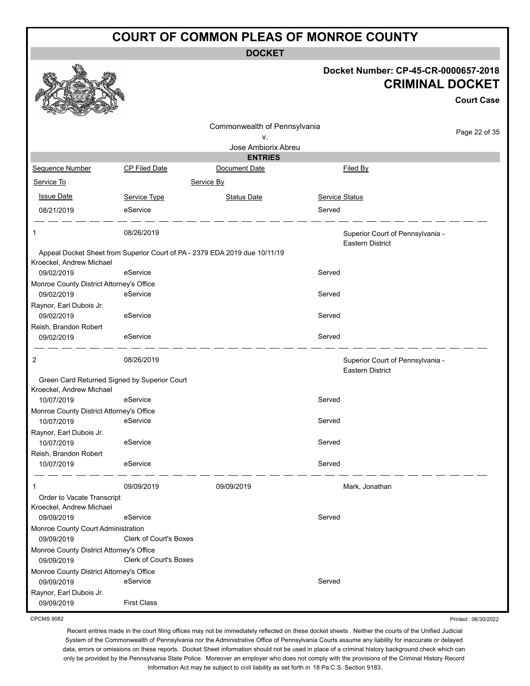**DOCKET**

|                                                        |                               |                                                                            |                | Docket Number: CP-45-CR-0000657-2018<br><b>CRIMINAL DOCKET</b> | <b>Court Case</b>   |
|--------------------------------------------------------|-------------------------------|----------------------------------------------------------------------------|----------------|----------------------------------------------------------------|---------------------|
|                                                        |                               | Commonwealth of Pennsylvania                                               |                |                                                                | Page 22 of 35       |
|                                                        |                               | ۷.<br>Jose Ambiorix Abreu                                                  |                |                                                                |                     |
|                                                        |                               | <b>ENTRIES</b>                                                             |                |                                                                |                     |
| Sequence Number                                        | <b>CP Filed Date</b>          | Document Date                                                              |                | Filed By                                                       |                     |
| Service To                                             |                               | Service By                                                                 |                |                                                                |                     |
|                                                        |                               |                                                                            |                |                                                                |                     |
| <b>Issue Date</b>                                      | Service Type                  | <b>Status Date</b>                                                         | Service Status |                                                                |                     |
| 08/21/2019                                             | eService                      |                                                                            | Served         |                                                                |                     |
| 1                                                      | 08/26/2019                    |                                                                            |                | Superior Court of Pennsylvania -<br><b>Eastern District</b>    |                     |
|                                                        |                               | Appeal Docket Sheet from Superior Court of PA - 2379 EDA 2019 due 10/11/19 |                |                                                                |                     |
| Kroeckel, Andrew Michael                               |                               |                                                                            |                |                                                                |                     |
| 09/02/2019                                             | eService                      |                                                                            | Served         |                                                                |                     |
| Monroe County District Attorney's Office<br>09/02/2019 | eService                      |                                                                            | Served         |                                                                |                     |
|                                                        |                               |                                                                            |                |                                                                |                     |
| Raynor, Earl Dubois Jr.<br>09/02/2019                  | eService                      |                                                                            | Served         |                                                                |                     |
| Reish, Brandon Robert                                  |                               |                                                                            |                |                                                                |                     |
| 09/02/2019                                             | eService                      |                                                                            | Served         |                                                                |                     |
| 2                                                      | 08/26/2019                    |                                                                            |                | Superior Court of Pennsylvania -<br><b>Eastern District</b>    |                     |
| Green Card Returned Signed by Superior Court           |                               |                                                                            |                |                                                                |                     |
| Kroeckel, Andrew Michael                               |                               |                                                                            |                |                                                                |                     |
| 10/07/2019                                             | eService                      |                                                                            | Served         |                                                                |                     |
| Monroe County District Attorney's Office               |                               |                                                                            |                |                                                                |                     |
| 10/07/2019                                             | eService                      |                                                                            | Served         |                                                                |                     |
| Raynor, Earl Dubois Jr.                                |                               |                                                                            |                |                                                                |                     |
| 10/07/2019                                             | eService                      |                                                                            | Served         |                                                                |                     |
| Reish, Brandon Robert                                  |                               |                                                                            | Served         |                                                                |                     |
| 10/07/2019                                             | eService                      |                                                                            |                |                                                                |                     |
| 1                                                      | 09/09/2019                    | 09/09/2019                                                                 |                | Mark, Jonathan                                                 |                     |
| Order to Vacate Transcript                             |                               |                                                                            |                |                                                                |                     |
| Kroeckel, Andrew Michael                               |                               |                                                                            |                |                                                                |                     |
| 09/09/2019                                             | eService                      |                                                                            | Served         |                                                                |                     |
| Monroe County Court Administration                     |                               |                                                                            |                |                                                                |                     |
| 09/09/2019                                             | Clerk of Court's Boxes        |                                                                            |                |                                                                |                     |
| Monroe County District Attorney's Office               | <b>Clerk of Court's Boxes</b> |                                                                            |                |                                                                |                     |
| 09/09/2019                                             |                               |                                                                            |                |                                                                |                     |
| Monroe County District Attorney's Office               | eService                      |                                                                            | Served         |                                                                |                     |
| 09/09/2019                                             |                               |                                                                            |                |                                                                |                     |
| Raynor, Earl Dubois Jr.<br>09/09/2019                  | <b>First Class</b>            |                                                                            |                |                                                                |                     |
| <b>CPCMS 9082</b>                                      |                               |                                                                            |                |                                                                | Printed: 06/30/2022 |

CPCMS 9082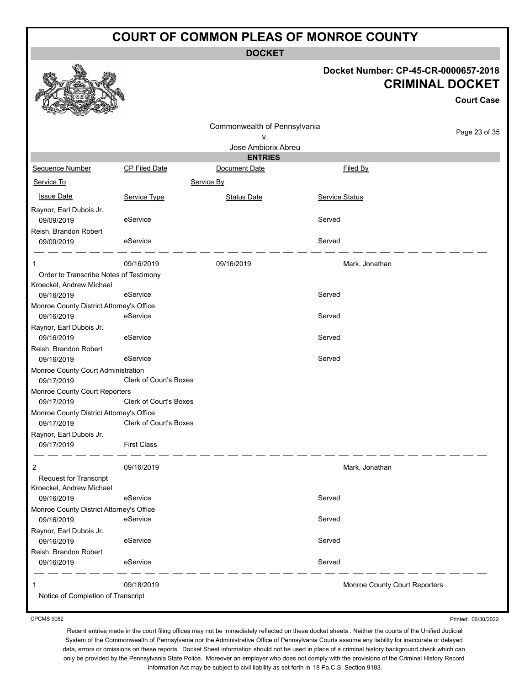**DOCKET**

#### **Docket Number: CP-45-CR-0000657-2018 CRIMINAL DOCKET**

**Court Case**

|                                          |                               |                                                           |                               | <b>Court Case</b> |
|------------------------------------------|-------------------------------|-----------------------------------------------------------|-------------------------------|-------------------|
|                                          |                               | Commonwealth of Pennsylvania<br>٧.<br>Jose Ambiorix Abreu |                               | Page 23 of 35     |
|                                          |                               | <b>ENTRIES</b>                                            |                               |                   |
| Sequence Number                          | <b>CP Filed Date</b>          | Document Date                                             | Filed By                      |                   |
| Service To                               |                               | Service By                                                |                               |                   |
| <b>Issue Date</b>                        | Service Type                  | <b>Status Date</b>                                        | Service Status                |                   |
| Raynor, Earl Dubois Jr.                  |                               |                                                           |                               |                   |
| 09/09/2019                               | eService                      |                                                           | Served                        |                   |
| Reish, Brandon Robert                    |                               |                                                           |                               |                   |
| 09/09/2019                               | eService                      |                                                           | Served                        |                   |
|                                          | 09/16/2019                    | 09/16/2019                                                | Mark, Jonathan                |                   |
| Order to Transcribe Notes of Testimony   |                               |                                                           |                               |                   |
| Kroeckel, Andrew Michael                 |                               |                                                           |                               |                   |
| 09/16/2019                               | eService                      |                                                           | Served                        |                   |
| Monroe County District Attorney's Office |                               |                                                           |                               |                   |
| 09/16/2019                               | eService                      |                                                           | Served                        |                   |
| Raynor, Earl Dubois Jr.                  |                               |                                                           |                               |                   |
| 09/16/2019                               | eService                      |                                                           | Served                        |                   |
| Reish, Brandon Robert<br>09/16/2019      | eService                      |                                                           | Served                        |                   |
| Monroe County Court Administration       |                               |                                                           |                               |                   |
| 09/17/2019                               | <b>Clerk of Court's Boxes</b> |                                                           |                               |                   |
| Monroe County Court Reporters            |                               |                                                           |                               |                   |
| 09/17/2019                               | <b>Clerk of Court's Boxes</b> |                                                           |                               |                   |
| Monroe County District Attorney's Office |                               |                                                           |                               |                   |
| 09/17/2019                               | Clerk of Court's Boxes        |                                                           |                               |                   |
| Raynor, Earl Dubois Jr.                  |                               |                                                           |                               |                   |
| 09/17/2019                               | <b>First Class</b>            |                                                           |                               |                   |
| 2                                        | 09/16/2019                    |                                                           | Mark, Jonathan                |                   |
| <b>Request for Transcript</b>            |                               |                                                           |                               |                   |
| Kroeckel, Andrew Michael                 |                               |                                                           |                               |                   |
| 09/16/2019                               | eService                      |                                                           | Served                        |                   |
| Monroe County District Attorney's Office |                               |                                                           |                               |                   |
| 09/16/2019                               | eService                      |                                                           | Served                        |                   |
| Raynor, Earl Dubois Jr.                  |                               |                                                           |                               |                   |
| 09/16/2019                               | eService                      |                                                           | Served                        |                   |
| Reish, Brandon Robert                    |                               |                                                           |                               |                   |
| 09/16/2019                               | eService                      |                                                           | Served                        |                   |
| 1                                        | 09/18/2019                    |                                                           | Monroe County Court Reporters |                   |
| Notice of Completion of Transcript       |                               |                                                           |                               |                   |
|                                          |                               |                                                           |                               |                   |

CPCMS 9082

Printed: 06/30/2022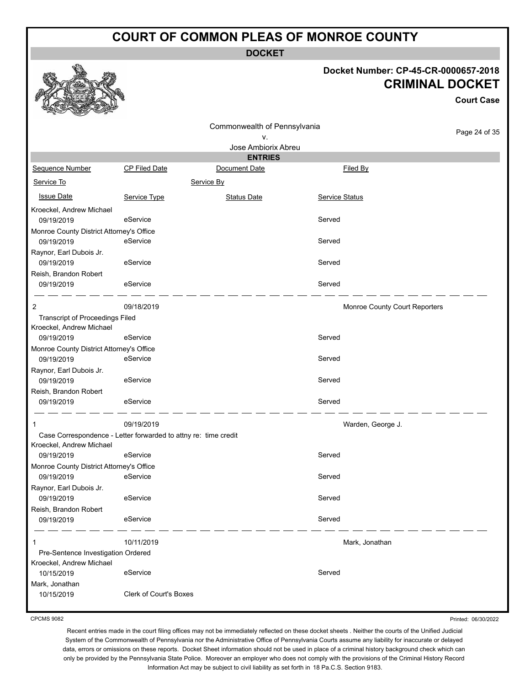**DOCKET**

# **Docket Number: CP-45-CR-0000657-2018**

|                                                                 |                        |                              |                       | <b>CRIMINAL DOCKET</b>        | <b>Court Case</b> |
|-----------------------------------------------------------------|------------------------|------------------------------|-----------------------|-------------------------------|-------------------|
|                                                                 |                        | Commonwealth of Pennsylvania |                       |                               | Page 24 of 35     |
|                                                                 |                        | ۷.                           |                       |                               |                   |
|                                                                 |                        | Jose Ambiorix Abreu          |                       |                               |                   |
|                                                                 |                        | <b>ENTRIES</b>               |                       |                               |                   |
| Sequence Number                                                 | CP Filed Date          | Document Date                |                       | Filed By                      |                   |
| Service To                                                      |                        | Service By                   |                       |                               |                   |
| <b>Issue Date</b>                                               | Service Type           | <b>Status Date</b>           | <b>Service Status</b> |                               |                   |
| Kroeckel, Andrew Michael                                        |                        |                              |                       |                               |                   |
| 09/19/2019                                                      | eService               |                              | Served                |                               |                   |
| Monroe County District Attorney's Office<br>09/19/2019          | eService               |                              | Served                |                               |                   |
| Raynor, Earl Dubois Jr.                                         |                        |                              |                       |                               |                   |
| 09/19/2019                                                      | eService               |                              | Served                |                               |                   |
| Reish, Brandon Robert                                           |                        |                              |                       |                               |                   |
| 09/19/2019                                                      | eService               |                              | Served                |                               |                   |
| 2                                                               | 09/18/2019             |                              |                       | Monroe County Court Reporters |                   |
| <b>Transcript of Proceedings Filed</b>                          |                        |                              |                       |                               |                   |
| Kroeckel, Andrew Michael                                        |                        |                              |                       |                               |                   |
| 09/19/2019                                                      | eService               |                              | Served                |                               |                   |
| Monroe County District Attorney's Office                        | eService               |                              | Served                |                               |                   |
| 09/19/2019                                                      |                        |                              |                       |                               |                   |
| Raynor, Earl Dubois Jr.<br>09/19/2019                           | eService               |                              | Served                |                               |                   |
| Reish, Brandon Robert                                           |                        |                              |                       |                               |                   |
| 09/19/2019                                                      | eService               |                              | Served                |                               |                   |
| 1                                                               | 09/19/2019             |                              |                       | Warden, George J.             |                   |
| Case Correspondence - Letter forwarded to attny re: time credit |                        |                              |                       |                               |                   |
| Kroeckel, Andrew Michael                                        |                        |                              |                       |                               |                   |
| 09/19/2019                                                      | eService               |                              | Served                |                               |                   |
| Monroe County District Attorney's Office                        |                        |                              |                       |                               |                   |
| 09/19/2019                                                      | eService               |                              | Served                |                               |                   |
| Raynor, Earl Dubois Jr.                                         |                        |                              |                       |                               |                   |
| 09/19/2019                                                      | eService               |                              | Served                |                               |                   |
| Reish, Brandon Robert                                           |                        |                              |                       |                               |                   |
| 09/19/2019                                                      | eService               |                              | Served                |                               |                   |
| 1                                                               | 10/11/2019             |                              |                       | Mark, Jonathan                |                   |
| Pre-Sentence Investigation Ordered                              |                        |                              |                       |                               |                   |
| Kroeckel, Andrew Michael                                        |                        |                              |                       |                               |                   |
| 10/15/2019                                                      | eService               |                              | Served                |                               |                   |
| Mark, Jonathan                                                  |                        |                              |                       |                               |                   |
| 10/15/2019                                                      | Clerk of Court's Boxes |                              |                       |                               |                   |

CPCMS 9082

 $\mathcal{F}$ 

成

燃

Printed: 06/30/2022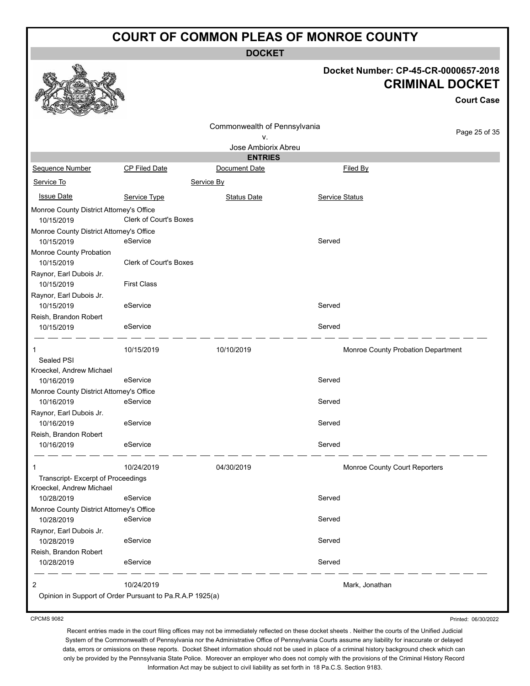**DOCKET**

#### **Docket Number: CP-45-CR-0000657-2018 CRIMINAL DOCKET**

**Court Case**

|                                          |                                                          | Commonwealth of Pennsylvania |                               |                                    |
|------------------------------------------|----------------------------------------------------------|------------------------------|-------------------------------|------------------------------------|
|                                          |                                                          | ۷.                           |                               | Page 25 of 35                      |
|                                          |                                                          | Jose Ambiorix Abreu          |                               |                                    |
|                                          |                                                          | <b>ENTRIES</b>               |                               |                                    |
| Sequence Number                          | <b>CP Filed Date</b>                                     | Document Date                | Filed By                      |                                    |
| Service To                               |                                                          | Service By                   |                               |                                    |
| <b>Issue Date</b>                        | Service Type                                             | <b>Status Date</b>           | Service Status                |                                    |
| Monroe County District Attorney's Office |                                                          |                              |                               |                                    |
| 10/15/2019                               | <b>Clerk of Court's Boxes</b>                            |                              |                               |                                    |
| Monroe County District Attorney's Office |                                                          |                              |                               |                                    |
| 10/15/2019                               | eService                                                 |                              | Served                        |                                    |
| Monroe County Probation                  |                                                          |                              |                               |                                    |
| 10/15/2019                               | <b>Clerk of Court's Boxes</b>                            |                              |                               |                                    |
| Raynor, Earl Dubois Jr.                  |                                                          |                              |                               |                                    |
| 10/15/2019                               | <b>First Class</b>                                       |                              |                               |                                    |
| Raynor, Earl Dubois Jr.                  |                                                          |                              |                               |                                    |
| 10/15/2019                               | eService                                                 |                              | Served                        |                                    |
| Reish, Brandon Robert                    |                                                          |                              |                               |                                    |
| 10/15/2019                               | eService                                                 |                              | Served                        |                                    |
|                                          | 10/15/2019                                               | 10/10/2019                   |                               | Monroe County Probation Department |
| Sealed PSI                               |                                                          |                              |                               |                                    |
| Kroeckel, Andrew Michael                 |                                                          |                              |                               |                                    |
| 10/16/2019                               | eService                                                 |                              | Served                        |                                    |
| Monroe County District Attorney's Office |                                                          |                              |                               |                                    |
| 10/16/2019                               | eService                                                 |                              | Served                        |                                    |
| Raynor, Earl Dubois Jr.                  |                                                          |                              |                               |                                    |
| 10/16/2019                               | eService                                                 |                              | Served                        |                                    |
| Reish, Brandon Robert                    |                                                          |                              |                               |                                    |
| 10/16/2019                               | eService                                                 |                              | Served                        |                                    |
| $\mathbf 1$                              | 10/24/2019                                               | 04/30/2019                   | Monroe County Court Reporters |                                    |
| Transcript- Excerpt of Proceedings       |                                                          |                              |                               |                                    |
| Kroeckel, Andrew Michael                 |                                                          |                              |                               |                                    |
| 10/28/2019                               | eService                                                 |                              | Served                        |                                    |
| Monroe County District Attorney's Office |                                                          |                              |                               |                                    |
| 10/28/2019                               | eService                                                 |                              | Served                        |                                    |
| Raynor, Earl Dubois Jr.                  |                                                          |                              |                               |                                    |
| 10/28/2019                               | eService                                                 |                              | Served                        |                                    |
| Reish, Brandon Robert                    |                                                          |                              |                               |                                    |
| 10/28/2019                               | eService                                                 |                              | Served                        |                                    |
| 2                                        | 10/24/2019                                               |                              | Mark, Jonathan                |                                    |
|                                          | Opinion in Support of Order Pursuant to Pa.R.A.P 1925(a) |                              |                               |                                    |
|                                          |                                                          |                              |                               |                                    |

CPCMS 9082

Printed: 06/30/2022

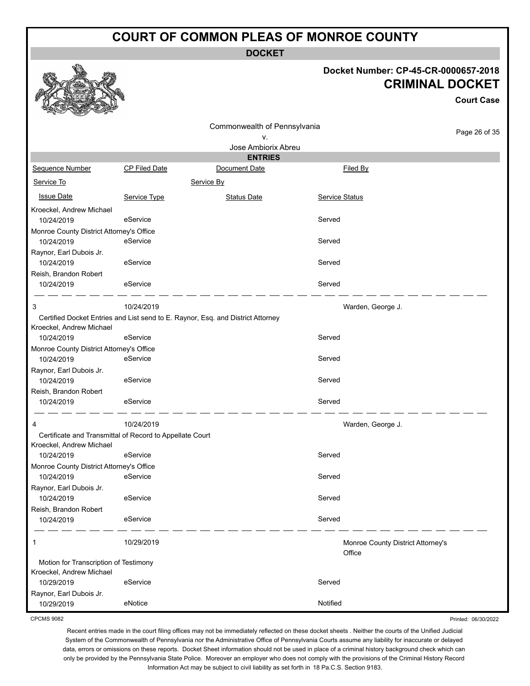**DOCKET**

Commonwealth of Pennsylvania

#### **Docket Number: CP-45-CR-0000657-2018 CRIMINAL DOCKET**

**Court Case**

Printed: 06/30/2022

| v.                                       |                                                          |                                                                                 |                       |                                             |  |
|------------------------------------------|----------------------------------------------------------|---------------------------------------------------------------------------------|-----------------------|---------------------------------------------|--|
| Jose Ambiorix Abreu                      |                                                          |                                                                                 |                       |                                             |  |
|                                          |                                                          | <b>ENTRIES</b>                                                                  |                       |                                             |  |
| Sequence Number                          | <b>CP Filed Date</b>                                     | Document Date                                                                   |                       | Filed By                                    |  |
| Service To                               |                                                          | Service By                                                                      |                       |                                             |  |
| <b>Issue Date</b>                        | Service Type                                             | <b>Status Date</b>                                                              | <b>Service Status</b> |                                             |  |
| Kroeckel, Andrew Michael                 |                                                          |                                                                                 |                       |                                             |  |
| 10/24/2019                               | eService                                                 |                                                                                 | Served                |                                             |  |
| Monroe County District Attorney's Office |                                                          |                                                                                 |                       |                                             |  |
| 10/24/2019                               | eService                                                 |                                                                                 | Served                |                                             |  |
| Raynor, Earl Dubois Jr.                  |                                                          |                                                                                 |                       |                                             |  |
| 10/24/2019                               | eService                                                 |                                                                                 | Served                |                                             |  |
| Reish, Brandon Robert                    |                                                          |                                                                                 |                       |                                             |  |
| 10/24/2019                               | eService                                                 |                                                                                 | Served                |                                             |  |
| 3                                        | 10/24/2019                                               |                                                                                 |                       | Warden, George J.                           |  |
|                                          |                                                          | Certified Docket Entries and List send to E. Raynor, Esq. and District Attorney |                       |                                             |  |
| Kroeckel, Andrew Michael                 |                                                          |                                                                                 |                       |                                             |  |
| 10/24/2019                               | eService                                                 |                                                                                 | Served                |                                             |  |
| Monroe County District Attorney's Office |                                                          |                                                                                 |                       |                                             |  |
| 10/24/2019                               | eService                                                 |                                                                                 | Served                |                                             |  |
| Raynor, Earl Dubois Jr.                  |                                                          |                                                                                 |                       |                                             |  |
| 10/24/2019                               | eService                                                 |                                                                                 | Served                |                                             |  |
| Reish, Brandon Robert                    |                                                          |                                                                                 |                       |                                             |  |
| 10/24/2019                               | eService                                                 |                                                                                 | Served                |                                             |  |
| 4                                        | 10/24/2019                                               |                                                                                 |                       | Warden, George J.                           |  |
|                                          | Certificate and Transmittal of Record to Appellate Court |                                                                                 |                       |                                             |  |
| Kroeckel, Andrew Michael                 |                                                          |                                                                                 |                       |                                             |  |
| 10/24/2019                               | eService                                                 |                                                                                 | Served                |                                             |  |
| Monroe County District Attorney's Office |                                                          |                                                                                 |                       |                                             |  |
| 10/24/2019                               | eService                                                 |                                                                                 | Served                |                                             |  |
| Raynor, Earl Dubois Jr.                  |                                                          |                                                                                 |                       |                                             |  |
| 10/24/2019                               | eService                                                 |                                                                                 | Served                |                                             |  |
| Reish, Brandon Robert                    |                                                          |                                                                                 |                       |                                             |  |
| 10/24/2019                               | eService                                                 |                                                                                 | Served                |                                             |  |
| 1                                        | 10/29/2019                                               |                                                                                 |                       | Monroe County District Attorney's<br>Office |  |
| Motion for Transcription of Testimony    |                                                          |                                                                                 |                       |                                             |  |
| Kroeckel, Andrew Michael                 |                                                          |                                                                                 |                       |                                             |  |
| 10/29/2019                               | eService                                                 |                                                                                 | Served                |                                             |  |
| Raynor, Earl Dubois Jr.                  |                                                          |                                                                                 |                       |                                             |  |
| 10/29/2019                               | eNotice                                                  |                                                                                 | Notified              |                                             |  |

CPCMS 9082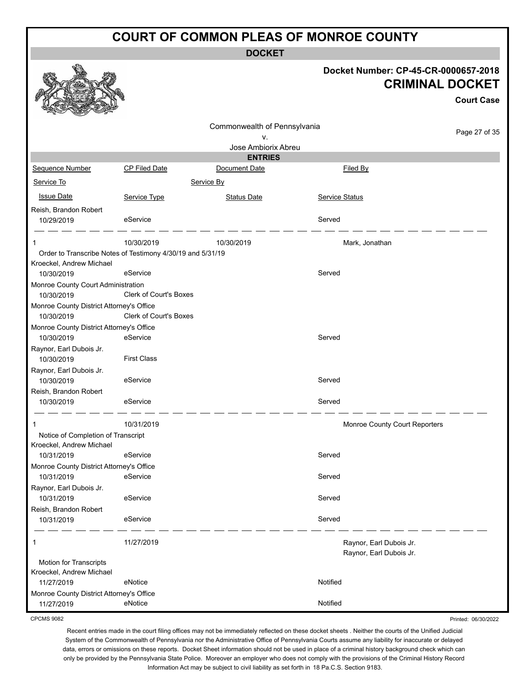**DOCKET**

|                                                            |                               | DUUNE I                      |                               |                                                                |
|------------------------------------------------------------|-------------------------------|------------------------------|-------------------------------|----------------------------------------------------------------|
|                                                            |                               |                              |                               | Docket Number: CP-45-CR-0000657-2018<br><b>CRIMINAL DOCKET</b> |
|                                                            |                               |                              |                               | <b>Court Case</b>                                              |
|                                                            |                               |                              |                               |                                                                |
|                                                            |                               | Commonwealth of Pennsylvania |                               | Page 27 of 35                                                  |
|                                                            |                               | v.<br>Jose Ambiorix Abreu    |                               |                                                                |
|                                                            |                               | <b>ENTRIES</b>               |                               |                                                                |
| Sequence Number                                            | CP Filed Date                 | Document Date                | Filed By                      |                                                                |
| Service To                                                 |                               | Service By                   |                               |                                                                |
| <b>Issue Date</b>                                          | Service Type                  | <b>Status Date</b>           | <b>Service Status</b>         |                                                                |
| Reish, Brandon Robert                                      |                               |                              |                               |                                                                |
| 10/29/2019                                                 | eService                      |                              | Served                        |                                                                |
|                                                            |                               |                              |                               |                                                                |
| 1                                                          | 10/30/2019                    | 10/30/2019                   | Mark, Jonathan                |                                                                |
| Order to Transcribe Notes of Testimony 4/30/19 and 5/31/19 |                               |                              |                               |                                                                |
| Kroeckel, Andrew Michael<br>10/30/2019                     | eService                      |                              | Served                        |                                                                |
| Monroe County Court Administration                         |                               |                              |                               |                                                                |
| 10/30/2019                                                 | Clerk of Court's Boxes        |                              |                               |                                                                |
| Monroe County District Attorney's Office                   |                               |                              |                               |                                                                |
| 10/30/2019                                                 | <b>Clerk of Court's Boxes</b> |                              |                               |                                                                |
| Monroe County District Attorney's Office                   |                               |                              |                               |                                                                |
| 10/30/2019                                                 | eService                      |                              | Served                        |                                                                |
| Raynor, Earl Dubois Jr.                                    |                               |                              |                               |                                                                |
| 10/30/2019                                                 | <b>First Class</b>            |                              |                               |                                                                |
| Raynor, Earl Dubois Jr.<br>10/30/2019                      | eService                      |                              | Served                        |                                                                |
| Reish, Brandon Robert                                      |                               |                              |                               |                                                                |
| 10/30/2019                                                 | eService                      |                              | Served                        |                                                                |
|                                                            | 10/31/2019                    |                              | Monroe County Court Reporters |                                                                |
| Notice of Completion of Transcript                         |                               |                              |                               |                                                                |
| Kroeckel, Andrew Michael<br>10/31/2019                     | eService                      |                              | Served                        |                                                                |
| Monroe County District Attorney's Office                   |                               |                              |                               |                                                                |
| 10/31/2019                                                 | eService                      |                              | Served                        |                                                                |
| Raynor, Earl Dubois Jr.                                    |                               |                              |                               |                                                                |
| 10/31/2019                                                 | eService                      |                              | Served                        |                                                                |
| Reish, Brandon Robert                                      |                               |                              |                               |                                                                |
| 10/31/2019                                                 | eService                      |                              | Served                        |                                                                |
|                                                            | 11/27/2019                    |                              | Raynor, Earl Dubois Jr.       |                                                                |
|                                                            |                               |                              | Raynor, Earl Dubois Jr.       |                                                                |
| Motion for Transcripts                                     |                               |                              |                               |                                                                |
| Kroeckel, Andrew Michael                                   |                               |                              | Notified                      |                                                                |
| 11/27/2019<br>Monroe County District Attorney's Office     | eNotice                       |                              |                               |                                                                |
| 11/27/2019                                                 | eNotice                       |                              | Notified                      |                                                                |
|                                                            |                               |                              |                               |                                                                |

CPCMS 9082

Recent entries made in the court filing offices may not be immediately reflected on these docket sheets . Neither the courts of the Unified Judicial System of the Commonwealth of Pennsylvania nor the Administrative Office of Pennsylvania Courts assume any liability for inaccurate or delayed data, errors or omissions on these reports. Docket Sheet information should not be used in place of a criminal history background check which can only be provided by the Pennsylvania State Police. Moreover an employer who does not comply with the provisions of the Criminal History Record

Printed: 06/30/2022

Information Act may be subject to civil liability as set forth in 18 Pa.C.S. Section 9183.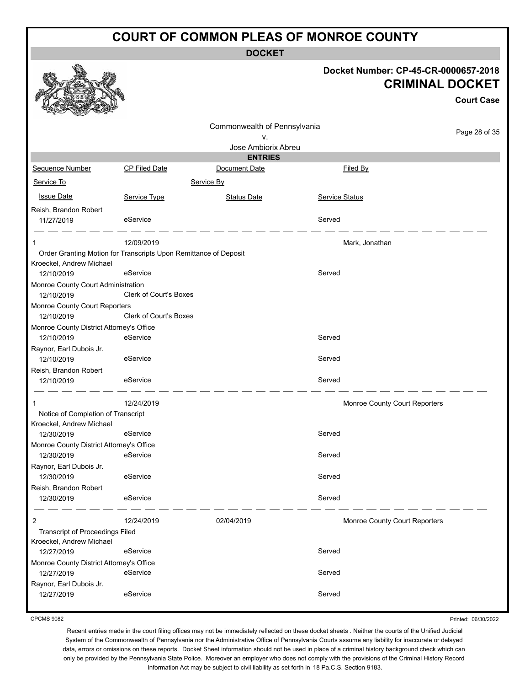**DOCKET**

|                                                                  |                        | UUUNE I                      |                |                                                                |                   |
|------------------------------------------------------------------|------------------------|------------------------------|----------------|----------------------------------------------------------------|-------------------|
|                                                                  |                        |                              |                | Docket Number: CP-45-CR-0000657-2018<br><b>CRIMINAL DOCKET</b> |                   |
|                                                                  |                        |                              |                |                                                                | <b>Court Case</b> |
|                                                                  |                        |                              |                |                                                                |                   |
|                                                                  |                        | Commonwealth of Pennsylvania |                |                                                                |                   |
|                                                                  |                        | ۷.                           |                |                                                                | Page 28 of 35     |
|                                                                  |                        | Jose Ambiorix Abreu          |                |                                                                |                   |
|                                                                  |                        | <b>ENTRIES</b>               |                |                                                                |                   |
| Sequence Number                                                  | <b>CP Filed Date</b>   | Document Date                |                | Filed By                                                       |                   |
| Service To                                                       |                        | Service By                   |                |                                                                |                   |
| <b>Issue Date</b>                                                | Service Type           | <b>Status Date</b>           | Service Status |                                                                |                   |
| Reish, Brandon Robert                                            |                        |                              |                |                                                                |                   |
| 11/27/2019                                                       | eService               |                              | Served         |                                                                |                   |
|                                                                  | 12/09/2019             |                              |                | Mark, Jonathan                                                 |                   |
| Order Granting Motion for Transcripts Upon Remittance of Deposit |                        |                              |                |                                                                |                   |
| Kroeckel, Andrew Michael                                         |                        |                              |                |                                                                |                   |
| 12/10/2019                                                       | eService               |                              | Served         |                                                                |                   |
| Monroe County Court Administration<br>12/10/2019                 | Clerk of Court's Boxes |                              |                |                                                                |                   |
| Monroe County Court Reporters                                    |                        |                              |                |                                                                |                   |
| 12/10/2019                                                       | Clerk of Court's Boxes |                              |                |                                                                |                   |
| Monroe County District Attorney's Office                         |                        |                              |                |                                                                |                   |
| 12/10/2019                                                       | eService               |                              | Served         |                                                                |                   |
| Raynor, Earl Dubois Jr.                                          |                        |                              |                |                                                                |                   |
| 12/10/2019                                                       | eService               |                              | Served         |                                                                |                   |
| Reish, Brandon Robert                                            |                        |                              |                |                                                                |                   |
| 12/10/2019                                                       | eService               |                              | Served         |                                                                |                   |
|                                                                  | 12/24/2019             |                              |                | Monroe County Court Reporters                                  |                   |
| Notice of Completion of Transcript                               |                        |                              |                |                                                                |                   |
| Kroeckel, Andrew Michael                                         |                        |                              |                |                                                                |                   |
| 12/30/2019                                                       | eService               |                              | Served         |                                                                |                   |
| Monroe County District Attorney's Office                         |                        |                              |                |                                                                |                   |
| 12/30/2019                                                       | eService               |                              | Served         |                                                                |                   |
| Raynor, Earl Dubois Jr.                                          |                        |                              |                |                                                                |                   |
| 12/30/2019                                                       | eService               |                              | Served         |                                                                |                   |
| Reish, Brandon Robert                                            | eService               |                              | Served         |                                                                |                   |
| 12/30/2019                                                       |                        |                              |                |                                                                |                   |
| $\overline{2}$                                                   | 12/24/2019             | 02/04/2019                   |                | Monroe County Court Reporters                                  |                   |
| Transcript of Proceedings Filed<br>Kroeckel, Andrew Michael      |                        |                              |                |                                                                |                   |
| 12/27/2019                                                       | eService               |                              | Served         |                                                                |                   |
| Monroe County District Attorney's Office                         |                        |                              |                |                                                                |                   |
| 12/27/2019                                                       | eService               |                              | Served         |                                                                |                   |
| Raynor, Earl Dubois Jr.                                          |                        |                              |                |                                                                |                   |
| 12/27/2019                                                       | eService               |                              | Served         |                                                                |                   |
|                                                                  |                        |                              |                |                                                                |                   |

CPCMS 9082

Printed: 06/30/2022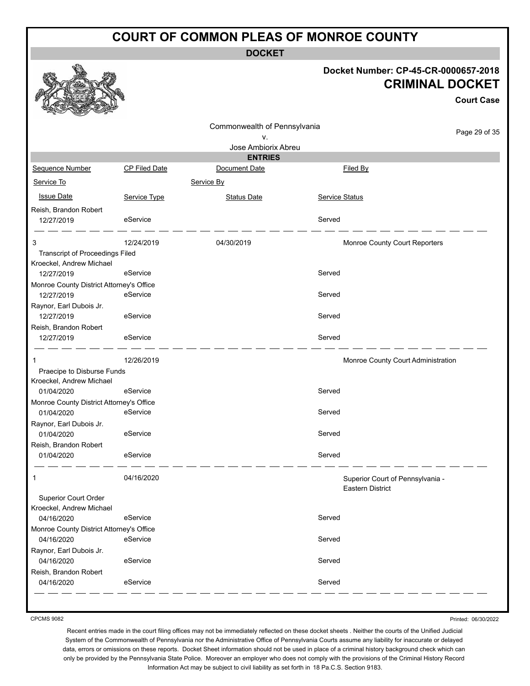**DOCKET**

#### **Docket Number: CP-45-CR-0000657-2018 CRIMINAL DOCKET**

**Court Case**

|                                                                    |               |                              |                |                                                      | Gourt Gase    |
|--------------------------------------------------------------------|---------------|------------------------------|----------------|------------------------------------------------------|---------------|
|                                                                    |               | Commonwealth of Pennsylvania |                |                                                      |               |
|                                                                    |               | v.                           |                |                                                      | Page 29 of 35 |
|                                                                    |               | Jose Ambiorix Abreu          |                |                                                      |               |
|                                                                    |               | <b>ENTRIES</b>               |                |                                                      |               |
| Sequence Number                                                    | CP Filed Date | Document Date                |                | Filed By                                             |               |
| Service To                                                         |               | Service By                   |                |                                                      |               |
| <b>Issue Date</b>                                                  | Service Type  | <b>Status Date</b>           | Service Status |                                                      |               |
| Reish, Brandon Robert                                              |               |                              |                |                                                      |               |
| 12/27/2019                                                         | eService      |                              | Served         |                                                      |               |
| 3                                                                  | 12/24/2019    | 04/30/2019                   |                | Monroe County Court Reporters                        |               |
| <b>Transcript of Proceedings Filed</b><br>Kroeckel, Andrew Michael |               |                              |                |                                                      |               |
| 12/27/2019                                                         | eService      |                              | Served         |                                                      |               |
| Monroe County District Attorney's Office                           |               |                              |                |                                                      |               |
| 12/27/2019                                                         | eService      |                              | Served         |                                                      |               |
| Raynor, Earl Dubois Jr.<br>12/27/2019                              | eService      |                              | Served         |                                                      |               |
| Reish, Brandon Robert                                              |               |                              |                |                                                      |               |
| 12/27/2019                                                         | eService      |                              | Served         |                                                      |               |
| 1                                                                  | 12/26/2019    |                              |                | Monroe County Court Administration                   |               |
| Praecipe to Disburse Funds<br>Kroeckel, Andrew Michael             |               |                              |                |                                                      |               |
| 01/04/2020                                                         | eService      |                              | Served         |                                                      |               |
| Monroe County District Attorney's Office                           |               |                              |                |                                                      |               |
| 01/04/2020                                                         | eService      |                              | Served         |                                                      |               |
| Raynor, Earl Dubois Jr.                                            |               |                              |                |                                                      |               |
| 01/04/2020<br>Reish, Brandon Robert                                | eService      |                              | Served         |                                                      |               |
| 01/04/2020                                                         | eService      |                              | Served         |                                                      |               |
| 1                                                                  | 04/16/2020    |                              |                |                                                      |               |
|                                                                    |               |                              |                | Superior Court of Pennsylvania -<br>Eastern District |               |
| Superior Court Order                                               |               |                              |                |                                                      |               |
| Kroeckel, Andrew Michael                                           |               |                              |                |                                                      |               |
| 04/16/2020                                                         | eService      |                              | Served         |                                                      |               |
| Monroe County District Attorney's Office                           |               |                              |                |                                                      |               |
| 04/16/2020                                                         | eService      |                              | Served         |                                                      |               |
| Raynor, Earl Dubois Jr.                                            |               |                              |                |                                                      |               |
| 04/16/2020                                                         | eService      |                              | Served         |                                                      |               |
| Reish, Brandon Robert<br>04/16/2020                                | eService      |                              | Served         |                                                      |               |
|                                                                    |               |                              |                |                                                      |               |
|                                                                    |               |                              |                |                                                      |               |

CPCMS 9082

Printed: 06/30/2022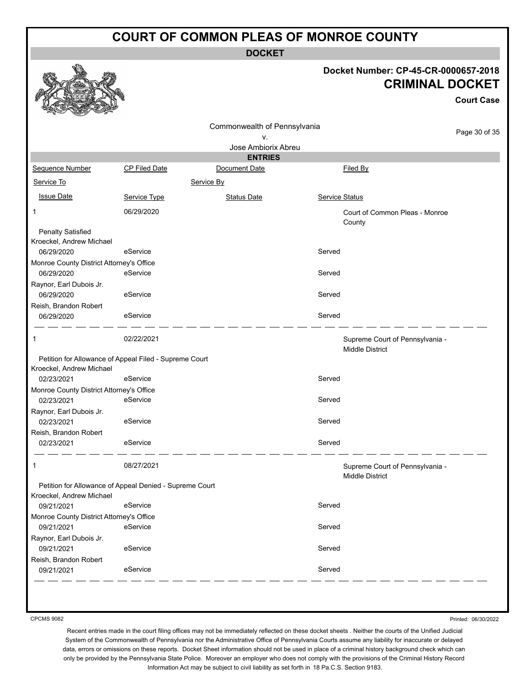**DOCKET**

#### **Docket Number: CP-45-CR-0000657-2018 CRIMINAL DOCKET**

**Court Case**

|                                                         |                                                                              |                                                                                           |                                                                         | <b>Court Case</b>                                    |
|---------------------------------------------------------|------------------------------------------------------------------------------|-------------------------------------------------------------------------------------------|-------------------------------------------------------------------------|------------------------------------------------------|
|                                                         | ٧.                                                                           |                                                                                           |                                                                         | Page 30 of 35                                        |
|                                                         |                                                                              |                                                                                           |                                                                         |                                                      |
|                                                         |                                                                              |                                                                                           |                                                                         |                                                      |
|                                                         |                                                                              |                                                                                           |                                                                         |                                                      |
|                                                         | Service By                                                                   |                                                                                           |                                                                         |                                                      |
| Service Type                                            | <b>Status Date</b>                                                           |                                                                                           |                                                                         |                                                      |
| 06/29/2020                                              |                                                                              |                                                                                           | Court of Common Pleas - Monroe<br>County                                |                                                      |
|                                                         |                                                                              |                                                                                           |                                                                         |                                                      |
| eService                                                |                                                                              | Served                                                                                    |                                                                         |                                                      |
| Monroe County District Attorney's Office<br>eService    |                                                                              | Served                                                                                    |                                                                         |                                                      |
| eService                                                |                                                                              | Served                                                                                    |                                                                         |                                                      |
| eService                                                |                                                                              | Served                                                                                    |                                                                         |                                                      |
| 02/22/2021                                              |                                                                              |                                                                                           | Supreme Court of Pennsylvania -                                         |                                                      |
|                                                         |                                                                              |                                                                                           |                                                                         |                                                      |
| eService                                                |                                                                              |                                                                                           |                                                                         |                                                      |
|                                                         |                                                                              |                                                                                           |                                                                         |                                                      |
|                                                         |                                                                              |                                                                                           |                                                                         |                                                      |
|                                                         |                                                                              |                                                                                           |                                                                         |                                                      |
| eService                                                |                                                                              | Served                                                                                    |                                                                         |                                                      |
|                                                         |                                                                              |                                                                                           |                                                                         |                                                      |
| eService                                                |                                                                              | Served                                                                                    |                                                                         |                                                      |
| 08/27/2021                                              |                                                                              |                                                                                           | Supreme Court of Pennsylvania -                                         |                                                      |
| Petition for Allowance of Appeal Denied - Supreme Court |                                                                              |                                                                                           | Middle District                                                         |                                                      |
| eService                                                |                                                                              | Served                                                                                    |                                                                         |                                                      |
| Monroe County District Attorney's Office                |                                                                              |                                                                                           |                                                                         |                                                      |
| eService                                                |                                                                              | Served                                                                                    |                                                                         |                                                      |
| eService                                                |                                                                              | Served                                                                                    |                                                                         |                                                      |
|                                                         | <b>CP Filed Date</b><br>Monroe County District Attorney's Office<br>eService | <b>ENTRIES</b><br>Document Date<br>Petition for Allowance of Appeal Filed - Supreme Court | Commonwealth of Pennsylvania<br>Jose Ambiorix Abreu<br>Served<br>Served | Filed By<br>Service Status<br><b>Middle District</b> |

CPCMS 9082

Printed: 06/30/2022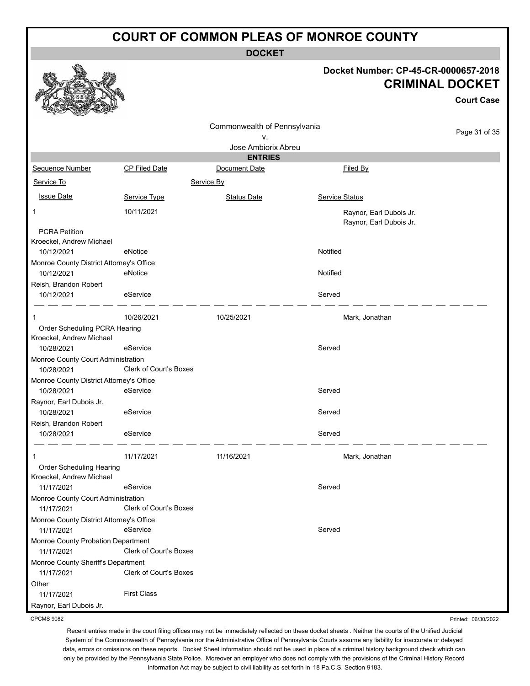**DOCKET**

#### **Docket Number: CP-45-CR-0000657-2018 CRIMINAL DOCKET**

**Court Case**

| $\sim$<br><b>SEARCH AND AND ARRANGEMENT</b><br>$-2$    |                               |                              |                                                    |               |
|--------------------------------------------------------|-------------------------------|------------------------------|----------------------------------------------------|---------------|
|                                                        |                               | Commonwealth of Pennsylvania |                                                    |               |
|                                                        |                               | ٧.                           |                                                    | Page 31 of 35 |
|                                                        |                               | Jose Ambiorix Abreu          |                                                    |               |
|                                                        |                               | <b>ENTRIES</b>               |                                                    |               |
| Sequence Number                                        | <b>CP Filed Date</b>          | Document Date                | Filed By                                           |               |
| Service To                                             |                               | Service By                   |                                                    |               |
| <b>Issue Date</b>                                      | Service Type                  | <b>Status Date</b>           | Service Status                                     |               |
| 1                                                      | 10/11/2021                    |                              | Raynor, Earl Dubois Jr.<br>Raynor, Earl Dubois Jr. |               |
| <b>PCRA Petition</b>                                   |                               |                              |                                                    |               |
| Kroeckel, Andrew Michael                               |                               |                              |                                                    |               |
| 10/12/2021                                             | eNotice                       |                              | Notified                                           |               |
| Monroe County District Attorney's Office               |                               |                              |                                                    |               |
| 10/12/2021                                             | eNotice                       |                              | Notified                                           |               |
| Reish, Brandon Robert                                  |                               |                              |                                                    |               |
| 10/12/2021                                             | eService                      |                              | Served                                             |               |
|                                                        | 10/26/2021                    | 10/25/2021                   | Mark, Jonathan                                     |               |
| Order Scheduling PCRA Hearing                          |                               |                              |                                                    |               |
| Kroeckel, Andrew Michael                               |                               |                              |                                                    |               |
| 10/28/2021                                             | eService                      |                              | Served                                             |               |
| Monroe County Court Administration                     |                               |                              |                                                    |               |
| 10/28/2021                                             | <b>Clerk of Court's Boxes</b> |                              |                                                    |               |
| Monroe County District Attorney's Office               |                               |                              |                                                    |               |
| 10/28/2021                                             | eService                      |                              | Served                                             |               |
| Raynor, Earl Dubois Jr.                                |                               |                              |                                                    |               |
| 10/28/2021                                             | eService                      |                              | Served                                             |               |
| Reish, Brandon Robert                                  |                               |                              |                                                    |               |
| 10/28/2021                                             | eService                      |                              | Served                                             |               |
| 1                                                      | 11/17/2021                    | 11/16/2021                   | Mark, Jonathan                                     |               |
| Order Scheduling Hearing                               |                               |                              |                                                    |               |
| Kroeckel, Andrew Michael                               |                               |                              |                                                    |               |
| 11/17/2021                                             | eService                      |                              | Served                                             |               |
| Monroe County Court Administration                     |                               |                              |                                                    |               |
| 11/17/2021                                             | Clerk of Court's Boxes        |                              |                                                    |               |
| Monroe County District Attorney's Office<br>11/17/2021 | eService                      |                              | Served                                             |               |
| Monroe County Probation Department<br>11/17/2021       | Clerk of Court's Boxes        |                              |                                                    |               |
| Monroe County Sheriff's Department<br>11/17/2021       | <b>Clerk of Court's Boxes</b> |                              |                                                    |               |
| Other                                                  |                               |                              |                                                    |               |
| 11/17/2021                                             | <b>First Class</b>            |                              |                                                    |               |
|                                                        |                               |                              |                                                    |               |

Raynor, Earl Dubois Jr. CPCMS 9082

Printed: 06/30/2022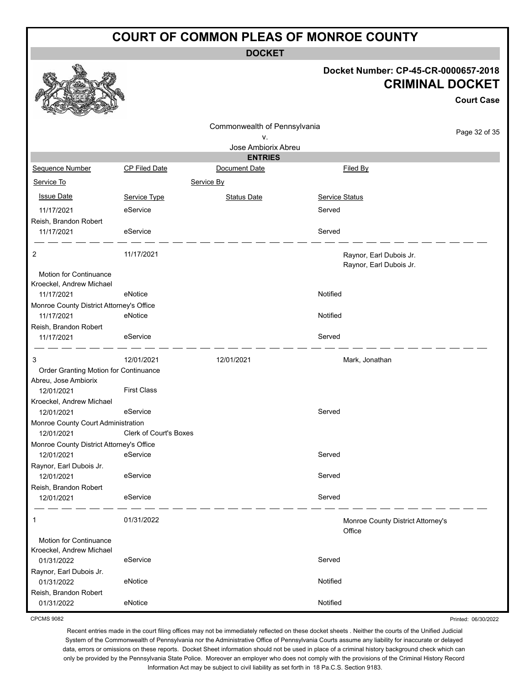**DOCKET**

#### **Docket Number: CP-45-CR-0000657-2018 CRIMINAL DOCKET**

**Court Case**

|                                                  |                               | Commonwealth of Pennsylvania |                       |                                   |
|--------------------------------------------------|-------------------------------|------------------------------|-----------------------|-----------------------------------|
|                                                  |                               | ۷.                           |                       | Page 32 of 35                     |
|                                                  |                               | Jose Ambiorix Abreu          |                       |                                   |
|                                                  |                               | <b>ENTRIES</b>               |                       |                                   |
| Sequence Number                                  | CP Filed Date                 | Document Date                | Filed By              |                                   |
| Service To                                       |                               | Service By                   |                       |                                   |
| <b>Issue Date</b>                                | Service Type                  | <b>Status Date</b>           | <b>Service Status</b> |                                   |
| 11/17/2021                                       | eService                      |                              | Served                |                                   |
| Reish, Brandon Robert                            |                               |                              |                       |                                   |
| 11/17/2021                                       | eService                      |                              | Served                |                                   |
| 2                                                | 11/17/2021                    |                              |                       | Raynor, Earl Dubois Jr.           |
|                                                  |                               |                              |                       | Raynor, Earl Dubois Jr.           |
| <b>Motion for Continuance</b>                    |                               |                              |                       |                                   |
| Kroeckel, Andrew Michael<br>11/17/2021           | eNotice                       |                              | Notified              |                                   |
| Monroe County District Attorney's Office         |                               |                              |                       |                                   |
| 11/17/2021                                       | eNotice                       |                              | Notified              |                                   |
| Reish, Brandon Robert                            |                               |                              |                       |                                   |
| 11/17/2021                                       | eService                      |                              | Served                |                                   |
|                                                  |                               |                              |                       |                                   |
| 3                                                | 12/01/2021                    | 12/01/2021                   | Mark, Jonathan        |                                   |
| Order Granting Motion for Continuance            |                               |                              |                       |                                   |
| Abreu, Jose Ambiorix                             |                               |                              |                       |                                   |
| 12/01/2021                                       | <b>First Class</b>            |                              |                       |                                   |
| Kroeckel, Andrew Michael                         |                               |                              |                       |                                   |
| 12/01/2021                                       | eService                      |                              | Served                |                                   |
| Monroe County Court Administration<br>12/01/2021 | <b>Clerk of Court's Boxes</b> |                              |                       |                                   |
| Monroe County District Attorney's Office         |                               |                              |                       |                                   |
| 12/01/2021                                       | eService                      |                              | Served                |                                   |
| Raynor, Earl Dubois Jr.                          |                               |                              |                       |                                   |
| 12/01/2021                                       | eService                      |                              | Served                |                                   |
| Reish, Brandon Robert                            |                               |                              |                       |                                   |
| 12/01/2021                                       | eService                      |                              | Served                |                                   |
| 1                                                | 01/31/2022                    |                              |                       | Monroe County District Attorney's |
|                                                  |                               |                              | Office                |                                   |
| Motion for Continuance                           |                               |                              |                       |                                   |
| Kroeckel, Andrew Michael<br>01/31/2022           | eService                      |                              | Served                |                                   |
| Raynor, Earl Dubois Jr.                          |                               |                              |                       |                                   |
| 01/31/2022                                       | eNotice                       |                              | Notified              |                                   |
| Reish, Brandon Robert                            |                               |                              |                       |                                   |
| 01/31/2022                                       | eNotice                       |                              | Notified              |                                   |

CPCMS 9082

Recent entries made in the court filing offices may not be immediately reflected on these docket sheets . Neither the courts of the Unified Judicial System of the Commonwealth of Pennsylvania nor the Administrative Office of Pennsylvania Courts assume any liability for inaccurate or delayed data, errors or omissions on these reports. Docket Sheet information should not be used in place of a criminal history background check which can only be provided by the Pennsylvania State Police. Moreover an employer who does not comply with the provisions of the Criminal History Record Information Act may be subject to civil liability as set forth in 18 Pa.C.S. Section 9183.

Printed: 06/30/2022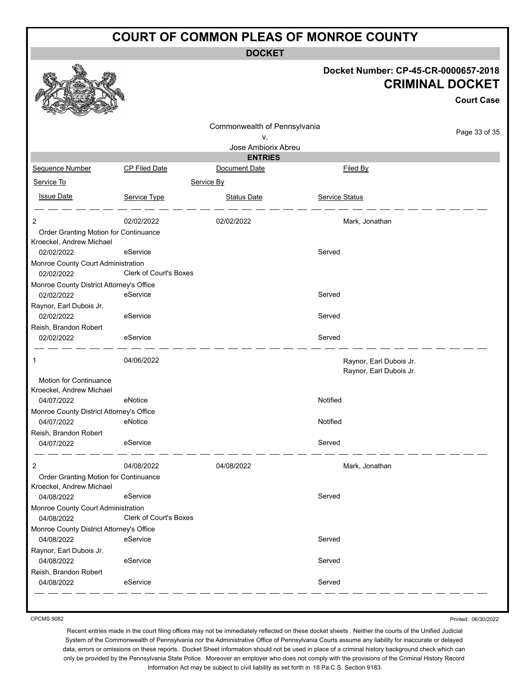**DOCKET**

|                                                        |                               |                              |                                                    | Docket Number: CP-45-CR-0000657-2018<br><b>CRIMINAL DOCKET</b><br><b>Court Case</b> |
|--------------------------------------------------------|-------------------------------|------------------------------|----------------------------------------------------|-------------------------------------------------------------------------------------|
|                                                        |                               | Commonwealth of Pennsylvania |                                                    |                                                                                     |
|                                                        |                               | ۷.                           |                                                    | Page 33 of 35                                                                       |
|                                                        |                               | Jose Ambiorix Abreu          |                                                    |                                                                                     |
|                                                        |                               | <b>ENTRIES</b>               |                                                    |                                                                                     |
| Sequence Number                                        | CP Filed Date                 | Document Date                | Filed By                                           |                                                                                     |
| Service To                                             |                               | Service By                   |                                                    |                                                                                     |
| <b>Issue Date</b>                                      | Service Type                  | <b>Status Date</b>           | Service Status                                     |                                                                                     |
| 2                                                      | 02/02/2022                    | 02/02/2022                   | Mark, Jonathan                                     |                                                                                     |
| Order Granting Motion for Continuance                  |                               |                              |                                                    |                                                                                     |
| Kroeckel, Andrew Michael                               |                               |                              |                                                    |                                                                                     |
| 02/02/2022                                             | eService                      |                              | Served                                             |                                                                                     |
| Monroe County Court Administration                     |                               |                              |                                                    |                                                                                     |
| 02/02/2022                                             | <b>Clerk of Court's Boxes</b> |                              |                                                    |                                                                                     |
| Monroe County District Attorney's Office<br>02/02/2022 | eService                      |                              | Served                                             |                                                                                     |
| Raynor, Earl Dubois Jr.                                |                               |                              |                                                    |                                                                                     |
| 02/02/2022                                             | eService                      |                              | Served                                             |                                                                                     |
| Reish, Brandon Robert                                  |                               |                              |                                                    |                                                                                     |
| 02/02/2022                                             | eService                      |                              | Served                                             |                                                                                     |
| 1                                                      | 04/06/2022                    |                              | Raynor, Earl Dubois Jr.<br>Raynor, Earl Dubois Jr. |                                                                                     |
| Motion for Continuance                                 |                               |                              |                                                    |                                                                                     |
| Kroeckel, Andrew Michael<br>04/07/2022                 | eNotice                       |                              | Notified                                           |                                                                                     |
| Monroe County District Attorney's Office               |                               |                              |                                                    |                                                                                     |
| 04/07/2022                                             | eNotice                       |                              | Notified                                           |                                                                                     |
| Reish, Brandon Robert                                  |                               |                              |                                                    |                                                                                     |
| 04/07/2022                                             | eService                      |                              | Served                                             |                                                                                     |
| 2                                                      | 04/08/2022                    | 04/08/2022                   | Mark, Jonathan                                     |                                                                                     |
| Order Granting Motion for Continuance                  |                               |                              |                                                    |                                                                                     |
| Kroeckel, Andrew Michael                               |                               |                              |                                                    |                                                                                     |
| 04/08/2022                                             | eService                      |                              | Served                                             |                                                                                     |
| Monroe County Court Administration<br>04/08/2022       | <b>Clerk of Court's Boxes</b> |                              |                                                    |                                                                                     |
| Monroe County District Attorney's Office               |                               |                              |                                                    |                                                                                     |
| 04/08/2022                                             | eService                      |                              | Served                                             |                                                                                     |
| Raynor, Earl Dubois Jr.                                |                               |                              |                                                    |                                                                                     |
| 04/08/2022                                             | eService                      |                              | Served                                             |                                                                                     |
| Reish, Brandon Robert                                  |                               |                              |                                                    |                                                                                     |
| 04/08/2022                                             | eService                      |                              | Served                                             |                                                                                     |
|                                                        |                               |                              |                                                    |                                                                                     |

CPCMS 9082

Printed: 06/30/2022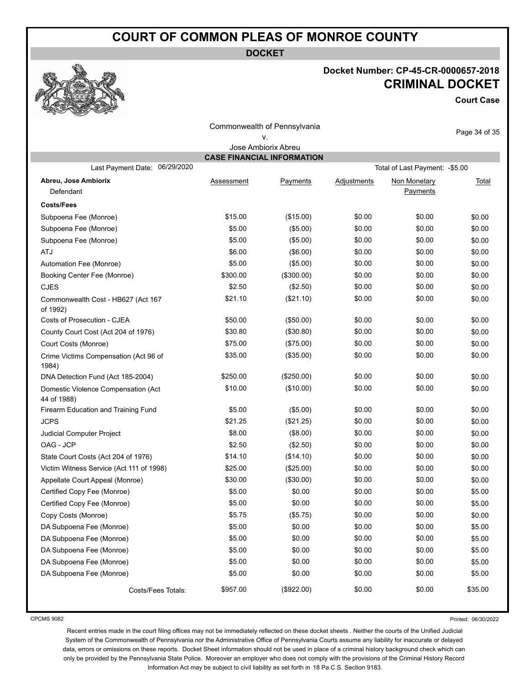**DOCKET**

#### **Docket Number: CP-45-CR-0000657-2018 CRIMINAL DOCKET**

**Court Case**

| Commonwealth of Pennsylvania                                                                             |            |            |             |                          |               |  |  |  |  |  |
|----------------------------------------------------------------------------------------------------------|------------|------------|-------------|--------------------------|---------------|--|--|--|--|--|
|                                                                                                          |            | ν.         |             |                          | Page 34 of 35 |  |  |  |  |  |
| Jose Ambiorix Abreu                                                                                      |            |            |             |                          |               |  |  |  |  |  |
| <b>CASE FINANCIAL INFORMATION</b><br>06/29/2020<br>Last Payment Date:<br>Total of Last Payment: - \$5.00 |            |            |             |                          |               |  |  |  |  |  |
|                                                                                                          |            |            |             |                          |               |  |  |  |  |  |
| Abreu, Jose Ambiorix<br>Defendant                                                                        | Assessment | Payments   | Adjustments | Non Monetary<br>Payments | Total         |  |  |  |  |  |
|                                                                                                          |            |            |             |                          |               |  |  |  |  |  |
| <b>Costs/Fees</b>                                                                                        |            |            |             |                          |               |  |  |  |  |  |
| Subpoena Fee (Monroe)                                                                                    | \$15.00    | (\$15.00)  | \$0.00      | \$0.00                   | \$0.00        |  |  |  |  |  |
| Subpoena Fee (Monroe)                                                                                    | \$5.00     | (\$5.00)   | \$0.00      | \$0.00                   | \$0.00        |  |  |  |  |  |
| Subpoena Fee (Monroe)                                                                                    | \$5.00     | (\$5.00)   | \$0.00      | \$0.00                   | \$0.00        |  |  |  |  |  |
| <b>ATJ</b>                                                                                               | \$6.00     | (\$6.00)   | \$0.00      | \$0.00                   | \$0.00        |  |  |  |  |  |
| Automation Fee (Monroe)                                                                                  | \$5.00     | (\$5.00)   | \$0.00      | \$0.00                   | \$0.00        |  |  |  |  |  |
| Booking Center Fee (Monroe)                                                                              | \$300.00   | (\$300.00) | \$0.00      | \$0.00                   | \$0.00        |  |  |  |  |  |
| <b>CJES</b>                                                                                              | \$2.50     | (\$2.50)   | \$0.00      | \$0.00                   | \$0.00        |  |  |  |  |  |
| Commonwealth Cost - HB627 (Act 167<br>of 1992)                                                           | \$21.10    | (\$21.10)  | \$0.00      | \$0.00                   | \$0.00        |  |  |  |  |  |
| Costs of Prosecution - CJEA                                                                              | \$50.00    | (\$50.00)  | \$0.00      | \$0.00                   | \$0.00        |  |  |  |  |  |
| County Court Cost (Act 204 of 1976)                                                                      | \$30.80    | (\$30.80)  | \$0.00      | \$0.00                   | \$0.00        |  |  |  |  |  |
| Court Costs (Monroe)                                                                                     | \$75.00    | (\$75.00)  | \$0.00      | \$0.00                   | \$0.00        |  |  |  |  |  |
| Crime Victims Compensation (Act 96 of<br>1984)                                                           | \$35.00    | (\$35.00)  | \$0.00      | \$0.00                   | \$0.00        |  |  |  |  |  |
| DNA Detection Fund (Act 185-2004)                                                                        | \$250.00   | (\$250.00) | \$0.00      | \$0.00                   | \$0.00        |  |  |  |  |  |
| Domestic Violence Compensation (Act<br>44 of 1988)                                                       | \$10.00    | (\$10.00)  | \$0.00      | \$0.00                   | \$0.00        |  |  |  |  |  |
| Firearm Education and Training Fund                                                                      | \$5.00     | (\$5.00)   | \$0.00      | \$0.00                   | \$0.00        |  |  |  |  |  |
| <b>JCPS</b>                                                                                              | \$21.25    | (\$21.25)  | \$0.00      | \$0.00                   | \$0.00        |  |  |  |  |  |
| Judicial Computer Project                                                                                | \$8.00     | (\$8.00)   | \$0.00      | \$0.00                   | \$0.00        |  |  |  |  |  |
| OAG - JCP                                                                                                | \$2.50     | (\$2.50)   | \$0.00      | \$0.00                   | \$0.00        |  |  |  |  |  |
| State Court Costs (Act 204 of 1976)                                                                      | \$14.10    | (\$14.10)  | \$0.00      | \$0.00                   | \$0.00        |  |  |  |  |  |
| Victim Witness Service (Act 111 of 1998)                                                                 | \$25.00    | (\$25.00)  | \$0.00      | \$0.00                   | \$0.00        |  |  |  |  |  |
| Appellate Court Appeal (Monroe)                                                                          | \$30.00    | (\$30.00)  | \$0.00      | \$0.00                   | \$0.00        |  |  |  |  |  |
| Certified Copy Fee (Monroe)                                                                              | \$5.00     | \$0.00     | \$0.00      | \$0.00                   | \$5.00        |  |  |  |  |  |
| Certified Copy Fee (Monroe)                                                                              | \$5.00     | \$0.00     | \$0.00      | \$0.00                   | \$5.00        |  |  |  |  |  |
| Copy Costs (Monroe)                                                                                      | \$5.75     | (\$5.75)   | \$0.00      | \$0.00                   | \$0.00        |  |  |  |  |  |
| DA Subpoena Fee (Monroe)                                                                                 | \$5.00     | \$0.00     | \$0.00      | \$0.00                   | \$5.00        |  |  |  |  |  |
| DA Subpoena Fee (Monroe)                                                                                 | \$5.00     | \$0.00     | \$0.00      | \$0.00                   | \$5.00        |  |  |  |  |  |
| DA Subpoena Fee (Monroe)                                                                                 | \$5.00     | \$0.00     | \$0.00      | \$0.00                   | \$5.00        |  |  |  |  |  |
| DA Subpoena Fee (Monroe)                                                                                 | \$5.00     | \$0.00     | \$0.00      | \$0.00                   | \$5.00        |  |  |  |  |  |
| DA Subpoena Fee (Monroe)                                                                                 | \$5.00     | \$0.00     | \$0.00      | \$0.00                   | \$5.00        |  |  |  |  |  |
| Costs/Fees Totals:                                                                                       | \$957.00   | (\$922.00) | \$0.00      | \$0.00                   | \$35.00       |  |  |  |  |  |

CPCMS 9082

Printed: 06/30/2022